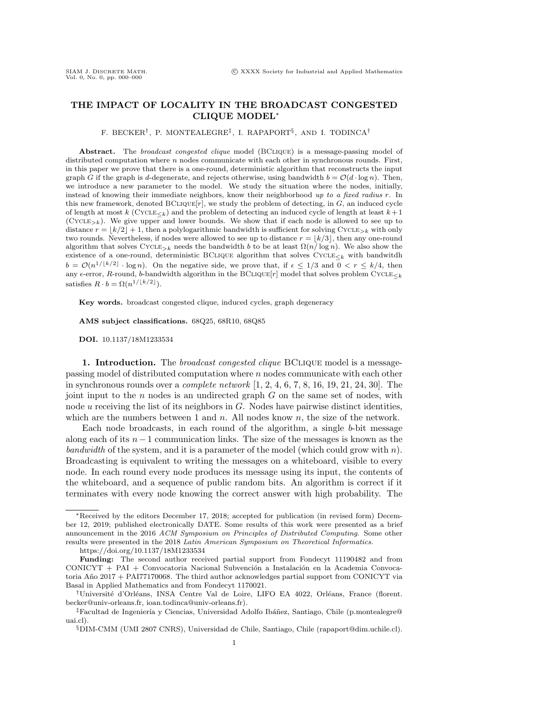# THE IMPACT OF LOCALITY IN THE BROADCAST CONGESTED CLIQUE MODEL\*

#### F. BECKER<sup>†</sup>, P. MONTEALEGRE<sup>‡</sup>, I. RAPAPORT<sup>§</sup>, AND I. TODINCA<sup>†</sup>

Abstract. The broadcast congested clique model (BCLIQUE) is a message-passing model of distributed computation where  $n$  nodes communicate with each other in synchronous rounds. First, in this paper we prove that there is a one-round, deterministic algorithm that reconstructs the input graph G if the graph is d-degenerate, and rejects otherwise, using bandwidth  $b = \mathcal{O} (d \cdot \log n)$ . Then, we introduce a new parameter to the model. We study the situation where the nodes, initially, instead of knowing their immediate neighbors, know their neighborhood up to a fixed radius r. In this new framework, denoted  $BCLIQUE[r]$ , we study the problem of detecting, in  $G$ , an induced cycle of length at most k (CYCLE<sub> $\leq k$ </sub>) and the problem of detecting an induced cycle of length at least  $k + 1$  $(CYCLE_{\ge k})$ . We give upper and lower bounds. We show that if each node is allowed to see up to distance  $r = \lfloor k/2 \rfloor + 1$ , then a polylogarithmic bandwidth is sufficient for solving Cycle<sub>>k</sub> with only two rounds. Nevertheless, if nodes were allowed to see up to distance  $r = \lfloor k/3 \rfloor$ , then any one-round algorithm that solves CYCLE<sub>>k</sub> needs the bandwidth b to be at least  $\Omega(n/ \log n)$ . We also show the existence of a one-round, deterministic BCLIQUE algorithm that solves  $\text{CYCLE}_{\leq k}$  with bandwitdh  $b = \mathcal{O}(n^{1/\lfloor k/2\rfloor} \cdot \log n)$ . On the negative side, we prove that, if  $\epsilon \leq 1/3$  and  $0 < r \leq k/4$ , then any  $\epsilon$ -error, R-round, b-bandwidth algorithm in the BCLIQUE $[r]$  model that solves problem CYCLE $\epsilon_k$ satisfies  $R \cdot b = \Omega (n^{1/\lfloor k/2\rfloor}).$ 

Key words. broadcast congested clique, induced cycles, graph degeneracy

AMS subject classifications. 68Q25, 68R10, 68Q85

DOI. 10.1137/18M1233534

1. Introduction. The *broadcast congested clique* BCLIQUE model is a messagepassing model of distributed computation where n nodes communicate with each other in synchronous rounds over a *complete network*  $[1, 2, 4, 6, 7, 8, 16, 19, 21, 24, 30]$  $[1, 2, 4, 6, 7, 8, 16, 19, 21, 24, 30]$  $[1, 2, 4, 6, 7, 8, 16, 19, 21, 24, 30]$  $[1, 2, 4, 6, 7, 8, 16, 19, 21, 24, 30]$  $[1, 2, 4, 6, 7, 8, 16, 19, 21, 24, 30]$  $[1, 2, 4, 6, 7, 8, 16, 19, 21, 24, 30]$  $[1, 2, 4, 6, 7, 8, 16, 19, 21, 24, 30]$  $[1, 2, 4, 6, 7, 8, 16, 19, 21, 24, 30]$  $[1, 2, 4, 6, 7, 8, 16, 19, 21, 24, 30]$  $[1, 2, 4, 6, 7, 8, 16, 19, 21, 24, 30]$  $[1, 2, 4, 6, 7, 8, 16, 19, 21, 24, 30]$ . The joint input to the  $n$  nodes is an undirected graph  $G$  on the same set of nodes, with node u receiving the list of its neighbors in G. Nodes have pairwise distinct identities, which are the numbers between 1 and  $n$ . All nodes know  $n$ , the size of the network.

Each node broadcasts, in each round of the algorithm, a single b-bit message along each of its  $n-1$  communication links. The size of the messages is known as the bandwidth of the system, and it is a parameter of the model (which could grow with  $n$ ). Broadcasting is equivalent to writing the messages on a whiteboard, visible to every node. In each round every node produces its message using its input, the contents of the whiteboard, and a sequence of public random bits. An algorithm is correct if it terminates with every node knowing the correct answer with high probability. The

 $*$  Received by the editors December 17, 2018; accepted for publication (in revised form) December 12, 2019; published electronically DATE. Some results of this work were presented as a brief announcement in the 2016 ACM Symposium on Principles of Distributed Computing. Some other results were presented in the 2018 Latin American Symposium on Theoretical Informatics.

<https://doi.org/10.1137/18M1233534>

Funding: The second author received partial support from Fondecyt 11190482 and from CONICYT + PAI + Convocatoria Nacional Subvenci\'on a Instalaci\'on en la Academia Convocatoria A $\rm{\tilde {no}}$  2017 + PAI77170068. The third author acknowledges partial support from CONICYT via Basal in Applied Mathematics and from Fondecyt 1170021.

<sup>&</sup>lt;sup>†</sup>Université d'Orléans, INSA Centre Val de Loire, LIFO EA 4022, Orléans, France [\(florent.](mailto:florent.becker@univ-orleans.fr) [becker@univ-orleans.fr,](florent.becker@univ-orleans.fr) [ioan.todinca@univ-orleans.fr\)](mailto:ioan.todinca@univ-orleans.fr).

 $\ddot{\text{F}}$ Facultad de Ingeniería y Ciencias, Universidad Adolfo Ibáñez, Santiago, Chile [\(p.montealegre@](mailto:p.montealegre@uai.cl) [uai.cl\)](mailto:p.montealegre@uai.cl).

 $\S$ DIM-CMM (UMI 2807 CNRS), Universidad de Chile, Santiago, Chile [\(rapaport@dim.uchile.cl\)](mailto:rapaport@dim.uchile.cl). 1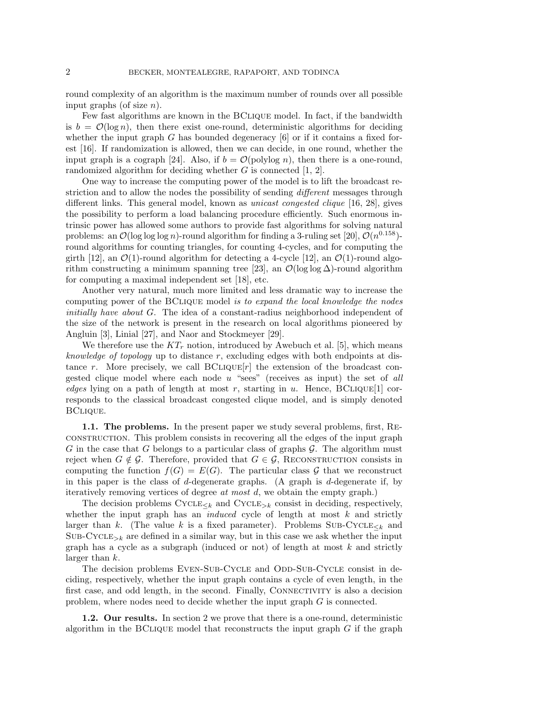round complexity of an algorithm is the maximum number of rounds over all possible input graphs (of size  $n$ ).

Few fast algorithms are known in the BClique model. In fact, if the bandwidth is  $b = \mathcal{O}(\log n)$ , then there exist one-round, deterministic algorithms for deciding whether the input graph G has bounded degeneracy  $[6]$  or if it contains a fixed forest [\[16\]](#page-17-4). If randomization is allowed, then we can decide, in one round, whether the input graph is a cograph [\[24\]](#page-17-7). Also, if  $b = \mathcal{O}(\text{polylog } n)$ , then there is a one-round, randomized algorithm for deciding whether  $G$  is connected  $[1, 2]$  $[1, 2]$ .

One way to increase the computing power of the model is to lift the broadcast restriction and to allow the nodes the possibility of sending *different* messages through different links. This general model, known as unicast congested clique [\[16,](#page-17-4) [28\]](#page-18-1), gives the possibility to perform a load balancing procedure efficiently. Such enormous intrinsic power has allowed some authors to provide fast algorithms for solving natural problems: an  $\mathcal{O}(\log \log \log n)$ -round algorithm for finding a 3-ruling set [\[20\]](#page-17-8),  $\mathcal{O} (n^{0.158})$ round algorithms for counting triangles, for counting 4-cycles, and for computing the girth [\[12\]](#page-17-9), an  $\mathcal{O}(1)$ -round algorithm for detecting a 4-cycle [12], an  $\mathcal{O}(1)$ -round algo-rithm constructing a minimum spanning tree [\[23\]](#page-17-10), an  $\mathcal{O}(\log \log \Delta)$ -round algorithm for computing a maximal independent set [\[18\]](#page-17-11), etc.

Another very natural, much more limited and less dramatic way to increase the computing power of the BClique model is to expand the local knowledge the nodes initially have about G. The idea of a constant-radius neighborhood independent of the size of the network is present in the research on local algorithms pioneered by Angluin [\[3\]](#page-17-12), Linial [\[27\]](#page-18-2), and Naor and Stockmeyer [\[29\]](#page-18-3).

We therefore use the  $KT_r$  notion, introduced by Awebuch et al. [\[5\]](#page-17-13), which means *knowledge of topology* up to distance  $r$ , excluding edges with both endpoints at distance r. More precisely, we call  $BCLIQUE[r]$  the extension of the broadcast congested clique model where each node  $u$  "sees" (receives as input) the set of all edges lying on a path of length at most r, starting in u. Hence,  $BCLIQUE[1]$  corresponds to the classical broadcast congested clique model, and is simply denoted BClique.

1.1. The problems. In the present paper we study several problems, first, Reconstruction. This problem consists in recovering all the edges of the input graph G in the case that G belongs to a particular class of graphs  $\mathcal G$ . The algorithm must reject when  $G \notin \mathcal{G}$ . Therefore, provided that  $G \in \mathcal{G}$ , RECONSTRUCTION consists in computing the function  $f(G) = E(G)$ . The particular class  $\mathcal G$  that we reconstruct in this paper is the class of d-degenerate graphs. (A graph is d-degenerate if, by iteratively removing vertices of degree at most d, we obtain the empty graph.)

The decision problems  $\text{CYCLE}_{\leq k}$  and  $\text{CYCLE}_{\geq k}$  consist in deciding, respectively, whether the input graph has an *induced* cycle of length at most  $k$  and strictly larger than k. (The value k is a fixed parameter). Problems  $\text{SUB-CYCLE}_{< k}$  and  $SUB-CYCLE_{\geq k}$  are defined in a similar way, but in this case we ask whether the input graph has a cycle as a subgraph (induced or not) of length at most  $k$  and strictly larger than k.

The decision problems EVEN-SUB-CYCLE and ODD-SUB-CYCLE consist in deciding, respectively, whether the input graph contains a cycle of even length, in the first case, and odd length, in the second. Finally, Connectivity is also a decision problem, where nodes need to decide whether the input graph G is connected.

1.2. Our results. In section [2](#page-5-0) we prove that there is a one-round, deterministic algorithm in the BCLIQUE model that reconstructs the input graph  $G$  if the graph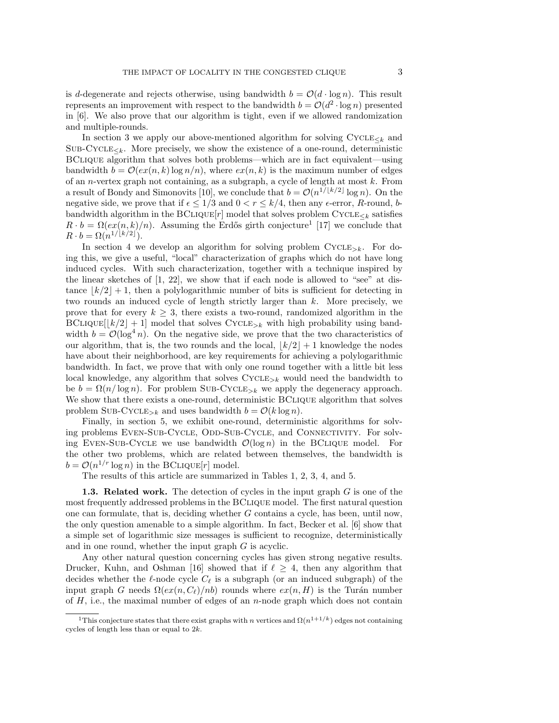is d-degenerate and rejects otherwise, using bandwidth  $b = \mathcal{O} (d \cdot \log n)$ . This result represents an improvement with respect to the bandwidth  $b = \mathcal{O}(d^2 \cdot \log n)$  presented in [\[6\]](#page-17-1). We also prove that our algorithm is tight, even if we allowed randomization and multiple-rounds.

In section [3](#page-7-0) we apply our above-mentioned algorithm for solving  $\text{CYCLE}_{< k}$  and  $SUB-CYCLE_{\leq k}$ . More precisely, we show the existence of a one-round, deterministic BCLIQUE algorithm that solves both problems---which are in fact equivalent---using bandwidth  $b = \mathcal{O}(ex(n, k) \log n/n)$ , where  $ex(n, k)$  is the maximum number of edges of an *n*-vertex graph not containing, as a subgraph, a cycle of length at most  $k$ . From a result of Bondy and Simonovits [\[10\]](#page-17-14), we conclude that  $b = \mathcal{O} (n^{1/\lfloor k/2\rfloor} \log n)$ . On the negative side, we prove that if  $\epsilon \leq 1/3$  and  $0 < r \leq k/4$ , then any  $\epsilon$ -error, R-round, bbandwidth algorithm in the BCLIQUE $[r]$  model that solves problem CYCLE $\lt_k$  satisfies  $R \cdot b = \Omega (ex(n, k)/n)$ . Assuming the Erdős girth conjecture<sup>[1](#page-2-0)</sup> [\[17\]](#page-17-15) we conclude that  $R \cdot b = \Omega (n^{1/\lfloor k/2\rfloor}).$ 

In section [4](#page-10-0) we develop an algorithm for solving problem  $CYCLE_{\geq k}$ . For doing this, we give a useful, "local" characterization of graphs which do not have long induced cycles. With such characterization, together with a technique inspired by the linear sketches of  $[1, 22]$  $[1, 22]$ , we show that if each node is allowed to "see" at distance  $\lfloor k/2\rfloor + 1$ , then a polylogarithmic number of bits is sufficient for detecting in two rounds an induced cycle of length strictly larger than k. More precisely, we prove that for every  $k \geq 3$ , there exists a two-round, randomized algorithm in the  $BCLIQUE[[k/2]+1]$  model that solves  $CYCLE_{> k}$  with high probability using bandwidth  $b = \mathcal{O}(\log^4 n)$ . On the negative side, we prove that the two characteristics of our algorithm, that is, the two rounds and the local,  $\left| k/2\right| + 1$  knowledge the nodes have about their neighborhood, are key requirements for achieving a polylogarithmic bandwidth. In fact, we prove that with only one round together with a little bit less local knowledge, any algorithm that solves  $\text{CYCLE}_{\geq k}$  would need the bandwidth to be  $b = \Omega(n / \log n)$ . For problem SUB-CYCLE<sub>>k</sub> we apply the degeneracy approach. We show that there exists a one-round, deterministic BCLIQUE algorithm that solves problem SUB-CYCLE<sub>>k</sub> and uses bandwidth  $b = \mathcal{O}(k \log n)$ .

Finally, in section [5,](#page-15-0) we exhibit one-round, deterministic algorithms for solving problems EVEN-SUB-CYCLE, ODD-SUB-CYCLE, and CONNECTIVITY. For solving EVEN-SUB-CYCLE we use bandwidth  $\mathcal{O}(\log n)$  in the BCLIQUE model. For the other two problems, which are related between themselves, the bandwidth is  $b = \mathcal{O}(n^{1/r} \log n)$  in the BCLIQUE $[r]$  model.

The results of this article are summarized in Tables [1,](#page-3-0) [2,](#page-3-1) [3,](#page-3-2) [4,](#page-3-3) and [5.](#page-3-4)

**1.3. Related work.** The detection of cycles in the input graph  $G$  is one of the most frequently addressed problems in the BClique model. The first natural question one can formulate, that is, deciding whether  $G$  contains a cycle, has been, until now, the only question amenable to a simple algorithm. In fact, Becker et al. [\[6\]](#page-17-1) show that a simple set of logarithmic size messages is sufficient to recognize, deterministically and in one round, whether the input graph G is acyclic.

Any other natural question concerning cycles has given strong negative results. Drucker, Kuhn, and Oshman [\[16\]](#page-17-4) showed that if  $\ell \geq 4$ , then any algorithm that decides whether the  $\ell$ -node cycle  $C_\ell$  is a subgraph (or an induced subgraph) of the input graph G needs  $\Omega (ex(n, C_f)/nb)$  rounds where  $ex(n, H)$  is the Turán number of  $H$ , i.e., the maximal number of edges of an *n*-node graph which does not contain

<span id="page-2-0"></span><sup>&</sup>lt;sup>1</sup>This conjecture states that there exist graphs with n vertices and  $\Omega (n^{1+1/k})$  edges not containing cycles of length less than or equal to 2k.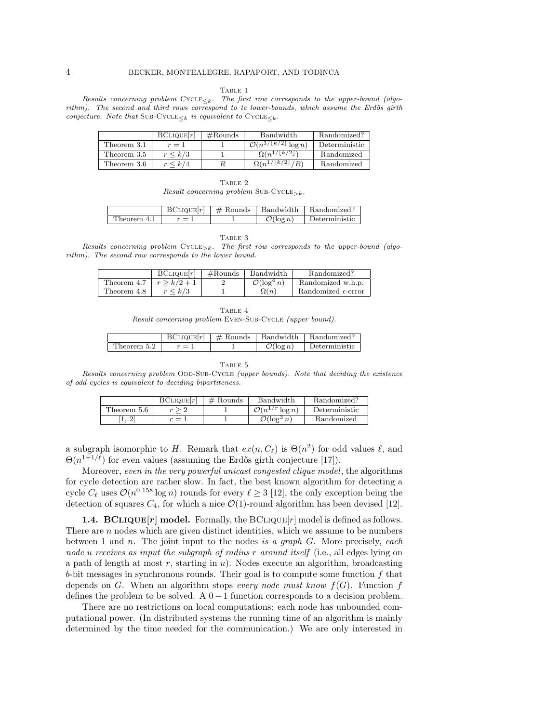#### TABLE 1

<span id="page-3-0"></span>Results concerning problem  $\text{CYCLE}_{\leq k}$ . The first row corresponds to the upper-bound (algo $rithm$ ). The second and third rows correspond to te lower-bounds, which assume the Erdős girth conjecture. Note that SUB-CYCLE $\lt k$  is equivalent to CYCLE $\lt k$ .

|             | BCIIQUE[r]    | $#$ Rounds | Bandwidth                                                | Randomized?   |
|-------------|---------------|------------|----------------------------------------------------------|---------------|
| Theorem 3.1 | $r=1$         |            | $\overline{\mathcal{O}(n^1/\lfloor k/2 \rfloor \log n)}$ | Deterministic |
| Theorem 3.5 | $r \leq k/3$  |            | $\Omega(n^{1/\lfloor k/2 \rfloor})$                      | Randomized    |
| Theorem 3.6 | $\frac{k}{4}$ |            | $\Omega(n^{1/\lfloor k/2 \rfloor})$                      | Randomized    |

| ı<br>٠.<br>٠ |  |
|--------------|--|
|--------------|--|

Result concerning problem SUB-CYCLE<sub>>k</sub>.

<span id="page-3-1"></span>

|             |       |                       | $BCLIQUE[r]   # Rounds   Bandwidth   Randomized?$ |
|-------------|-------|-----------------------|---------------------------------------------------|
| Theorem 4.1 | $r=1$ | $\mathcal{O}(\log n)$ | Deterministic                                     |

TABLE 3

<span id="page-3-2"></span>Results concerning problem  $CYCLE_{\geq k}$ . The first row corresponds to the upper-bound (algorithm). The second row corresponds to the lower bound.

<span id="page-3-3"></span>

|             | BCIIQUE[r]    | $\#\text{Rounds}$ | Bandwidth               | Randomized?                  |
|-------------|---------------|-------------------|-------------------------|------------------------------|
| Theorem 4.7 | $r > k/2 + 1$ |                   | $\mathcal{O}(\log^4 n)$ | Randomized w.h.p.            |
| Theorem 4.8 | $r \leq k/3$  |                   | $\Omega(n)$             | Randomized $\epsilon$ -error |

| TABLE 4 |  |
|---------|--|
|---------|--|

Result concerning problem EVEN-SUB-CYCLE (upper bound).

|             | BCLIQUE[r]   # Rounds | Bandwidth             | Randomized?   |
|-------------|-----------------------|-----------------------|---------------|
| Theorem 5.2 |                       | $\mathcal{O}(\log n)$ | Deterministic |

TABLE 5

<span id="page-3-4"></span>Results concerning problem ODD-SUB-CYCLE (upper bounds). Note that deciding the existence of odd cycles is equivalent to deciding bipartiteness.

|             | BCIIQUE[r] | $#$ Rounds | Bandwidth                     | Randomized?   |
|-------------|------------|------------|-------------------------------|---------------|
| Theorem 5.6 |            |            | $\mathcal{O}(n^{1/r} \log n)$ | Deterministic |
| .,          | $=$        |            | $\mathcal{O}(\log^3 n)$       | Randomized    |

a subgraph isomorphic to H. Remark that  $ex(n, C_{\ell})$  is  $\Theta (n^2)$  for odd values  $\ell$ , and  $\Theta (n^{1+1/\ell})$  for even values (assuming the Erdős girth conjecture [\[17\]](#page-17-15)).

Moreover, even in the very powerful unicast congested clique model, the algorithms for cycle detection are rather slow. In fact, the best known algorithm for detecting a cycle  $C_\ell$  uses  $\mathcal{O} (n^{0.158} \log n)$  rounds for every  $\ell \geq 3$  [\[12\]](#page-17-9), the only exception being the detection of squares  $C_4$ , for which a nice  $\mathcal{O} (1)$ -round algorithm has been devised [\[12\]](#page-17-9).

**1.4. BCLIQUE** $[r]$  model. Formally, the BCLIQUE $[r]$  model is defined as follows. There are  $n$  nodes which are given distinct identities, which we assume to be numbers between 1 and n. The joint input to the nodes is a graph  $G$ . More precisely, each node u receives as input the subgraph of radius r around itself (i.e., all edges lying on a path of length at most  $r$ , starting in  $u$ ). Nodes execute an algorithm, broadcasting  $b$ -bit messages in synchronous rounds. Their goal is to compute some function  $f$  that depends on G. When an algorithm stops every node must know  $f(G)$ . Function f defines the problem to be solved. A  $0-1$  function corresponds to a decision problem.

There are no restrictions on local computations: each node has unbounded computational power. (In distributed systems the running time of an algorithm is mainly determined by the time needed for the communication.) We are only interested in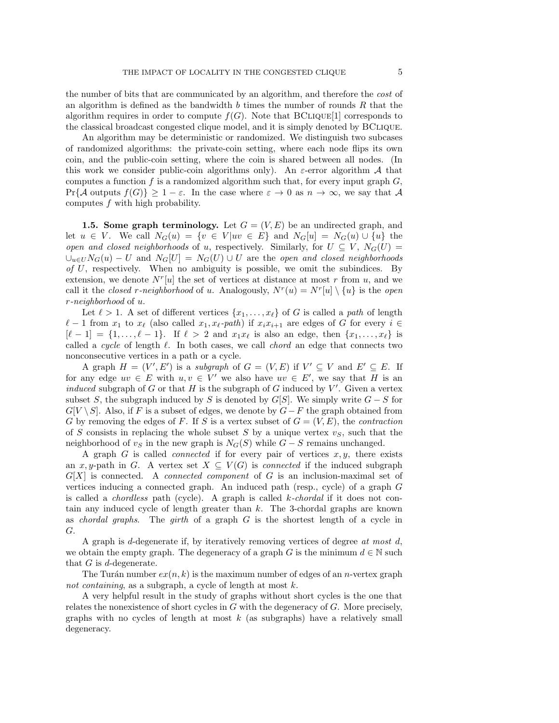the number of bits that are communicated by an algorithm, and therefore the cost of an algorithm is defined as the bandwidth b times the number of rounds  $R$  that the algorithm requires in order to compute  $f(G)$ . Note that BCLIQUE[1] corresponds to the classical broadcast congested clique model, and it is simply denoted by BClique.

An algorithm may be deterministic or randomized. We distinguish two subcases of randomized algorithms: the private-coin setting, where each node flips its own coin, and the public-coin setting, where the coin is shared between all nodes. (In this work we consider public-coin algorithms only). An  $\varepsilon$ -error algorithm  $\mathcal A$  that computes a function  $f$  is a randomized algorithm such that, for every input graph  $G$ ,  $Pr\{ \mathcal{A}$  outputs  $f(G)\} \geq 1 - \varepsilon$ . In the case where  $\varepsilon \rightarrow 0$  as  $n \rightarrow \infty$ , we say that  $\mathcal{A}$ computes f with high probability.

**1.5. Some graph terminology.** Let  $G = (V, E)$  be an undirected graph, and let  $u \in V$ . We call  $N_G(u) = \{ v \in V | uv \in E\}$  and  $N_G[u] = N_G(u) \cup \{ u\}$  the open and closed neighborhoods of u, respectively. Similarly, for  $U \subseteq V , N_G(U) =$  $\bigcup_{u\in U}N_G(u) - U$  and  $N_G[U] = N_G(U) \cup U$  are the open and closed neighborhoods of  $U$ , respectively. When no ambiguity is possible, we omit the subindices. By extension, we denote  $N^{r}[u]$  the set of vertices at distance at most r from u, and we call it the *closed r-neighborhood* of u. Analogously,  $N^r(u) = N^r[u] \setminus \{u\}$  is the *open* r-neighborhood of u.

Let  $\ell > 1$ . A set of different vertices  $\{ x_1, \ldots, x_\ell \}$  of G is called a path of length  $\ell - 1$  from  $x_1$  to  $x_\ell$  (also called  $x_1, x_\ell$ -path) if  $x_i x_{i+1}$  are edges of G for every  $i \in$  $[\ell - 1] = \{ 1, \ldots, \ell - 1\}$ . If  $\ell > 2$  and  $x_1x_\ell$  is also an edge, then  $\{ x_1, \ldots, x_\ell \}$  is called a cycle of length  $\ell$ . In both cases, we call *chord* an edge that connects two nonconsecutive vertices in a path or a cycle.

A graph  $H = (V', E')$  is a subgraph of  $G = (V, E)$  if  $V' \subseteq V$  and  $E' \subseteq E$ . If for any edge  $uv \in E$  with  $u, v \in V'$  we also have  $uv \in E'$ , we say that H is an induced subgraph of  $G$  or that  $H$  is the subgraph of  $G$  induced by  $V'$ . Given a vertex subset S, the subgraph induced by S is denoted by  $G[S]$ . We simply write  $G-S$  for  $G[V \setminus S]$ . Also, if F is a subset of edges, we denote by  $G - F$  the graph obtained from G by removing the edges of F. If S is a vertex subset of  $G = (V, E)$ , the *contraction* of S consists in replacing the whole subset S by a unique vertex  $v<sub>S</sub>$ , such that the neighborhood of  $v<sub>S</sub>$  in the new graph is  $N<sub>G</sub>(S)$  while  $G-S$  remains unchanged.

A graph  $G$  is called *connected* if for every pair of vertices  $x, y$ , there exists an x, y-path in G. A vertex set  $X \subseteq V (G)$  is connected if the induced subgraph  $G[X]$  is connected. A *connected component* of G is an inclusion-maximal set of vertices inducing a connected graph. An induced path (resp., cycle) of a graph G is called a *chordless* path (cycle). A graph is called  $k$ -*chordal* if it does not contain any induced cycle of length greater than  $k$ . The 3-chordal graphs are known as *chordal graphs*. The *girth* of a graph  $G$  is the shortest length of a cycle in G.

A graph is d-degenerate if, by iteratively removing vertices of degree at most  $d$ , we obtain the empty graph. The degeneracy of a graph G is the minimum  $d \in \Bbb N$  such that  $G$  is d-degenerate.

The Turán number  $ex(n, k)$  is the maximum number of edges of an *n*-vertex graph not containing, as a subgraph, a cycle of length at most k.

<span id="page-4-0"></span>A very helpful result in the study of graphs without short cycles is the one that relates the nonexistence of short cycles in  $G$  with the degeneracy of  $G$ . More precisely, graphs with no cycles of length at most  $k$  (as subgraphs) have a relatively small degeneracy.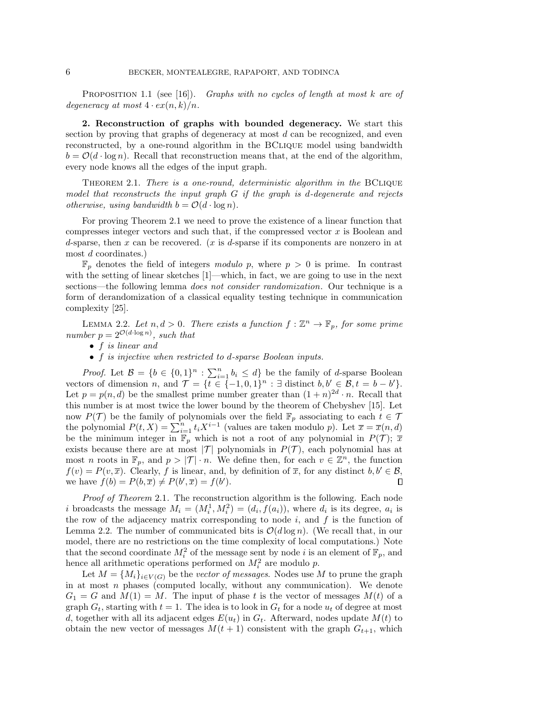PROPOSITION 1.1 (see [\[16\]](#page-17-4)). Graphs with no cycles of length at most k are of degeneracy at most  $4 \cdot \exp(n, k)/n$ .

<span id="page-5-0"></span>2. Reconstruction of graphs with bounded degeneracy. We start this section by proving that graphs of degeneracy at most  $d$  can be recognized, and even reconstructed, by a one-round algorithm in the BClique model using bandwidth  $b = \mathcal{O}(d \cdot \log n)$ . Recall that reconstruction means that, at the end of the algorithm, every node knows all the edges of the input graph.

<span id="page-5-1"></span>THEOREM 2.1. There is a one-round, deterministic algorithm in the BCLIQUE model that reconstructs the input graph  $G$  if the graph is d-degenerate and rejects otherwise, using bandwidth  $b = \mathcal{O} (d \cdot \log n)$ .

For proving Theorem [2.1](#page-5-1) we need to prove the existence of a linear function that compresses integer vectors and such that, if the compressed vector  $x$  is Boolean and d-sparse, then x can be recovered.  $(x \text{ is } d\text{-sparse}$  if its components are nonzero in at most d coordinates.)

 $\mathbb{F}_p$  denotes the field of integers modulo p, where  $p > 0$  is prime. In contrast with the setting of linear sketches  $[1]$ —which, in fact, we are going to use in the next sections—the following lemma *does not consider randomization*. Our technique is a form of derandomization of a classical equality testing technique in communication complexity [\[25\]](#page-17-17).

<span id="page-5-2"></span>LEMMA 2.2. Let  $n, d > 0$ . There exists a function  $f : \mathbb{Z}^n \to \mathbb{F}_p$ , for some prime number  $p = 2^{\mathcal{O}(d \cdot \log n)}$ , such that

- $\bullet$  f is linear and
- $\bullet$  f is injective when restricted to d-sparse Boolean inputs.

*Proof.* Let  $\mathcal{B} = \{ b \in \{ 0, 1\}^n : \sum_{i=1}^n b_i \leq d \}$  be the family of d-sparse Boolean vectors of dimension n, and  $\mathcal{T} = \{ t \in \{ -1, 0, 1\}^n : \exists \text{ distinct } b, b' \in \mathcal{B}, t = b - b' \}.$ Let  $p = p(n, d)$  be the smallest prime number greater than  $(1 + n)^{2d} \cdot n$ . Recall that this number is at most twice the lower bound by the theorem of Chebyshev [\[15\]](#page-17-18). Let now  $P(\mathcal{T})$  be the family of polynomials over the field  $\mathbb{F}_p$  associating to each  $t \in \mathcal{T}$ the polynomial  $P(t, X) = \sum_{i=1}^{n} t_i X^{i-1}$  (values are taken modulo p). Let  $\overline{x} = \overline{x}(n, d)$ be the minimum integer in  $\Bbb{F}_p$  which is not a root of any polynomial in  $P(\mathcal{T}); \ \overline{x}$ exists because there are at most  $|\mathcal{T}|$  polynomials in  $P(\mathcal{T})$ , each polynomial has at most n roots in  $\Bbb F_p$ , and  $p > | \mathcal T | \cdot n$ . We define then, for each  $v \in \Bbb Z^n$ , the function  $f(v) = P(v, \overline{x})$ . Clearly, f is linear, and, by definition of  $\overline{x}$ , for any distinct  $b, b' \in \mathcal{B}$ , we have  $f(b) = P(b, \overline{x}) \neq P(b', \overline{x}) = f(b').$  $\Box$ 

Proof of Theorem [2.1](#page-5-1). The reconstruction algorithm is the following. Each node i broadcasts the message  $M_i = (M_i^1, M_i^2) = (d_i, f(a_i))$ , where  $d_i$  is its degree,  $a_i$  is the row of the adjacency matrix corresponding to node  $i$ , and  $f$  is the function of Lemma [2.2.](#page-5-2) The number of communicated bits is  $\mathcal{O}(d \log n)$ . (We recall that, in our model, there are no restrictions on the time complexity of local computations.) Note that the second coordinate  $M_i^2$  of the message sent by node i is an element of  $\mathbb{F}_p$ , and hence all arithmetic operations performed on  $M_i^2$  are modulo p.

Let  $M = \{ M_i \}_{i \in V(G)}$  be the vector of messages. Nodes use M to prune the graph in at most  $n$  phases (computed locally, without any communication). We denote  $G_1 = G$  and  $M(1) = M$ . The input of phase t is the vector of messages  $M(t)$  of a graph  $G_t$ , starting with  $t = 1$ . The idea is to look in  $G_t$  for a node  $u_t$  of degree at most d, together with all its adjacent edges  $E(u_t)$  in  $G_t$ . Afterward, nodes update  $M(t)$  to obtain the new vector of messages  $M(t + 1)$  consistent with the graph  $G_{t+1}$ , which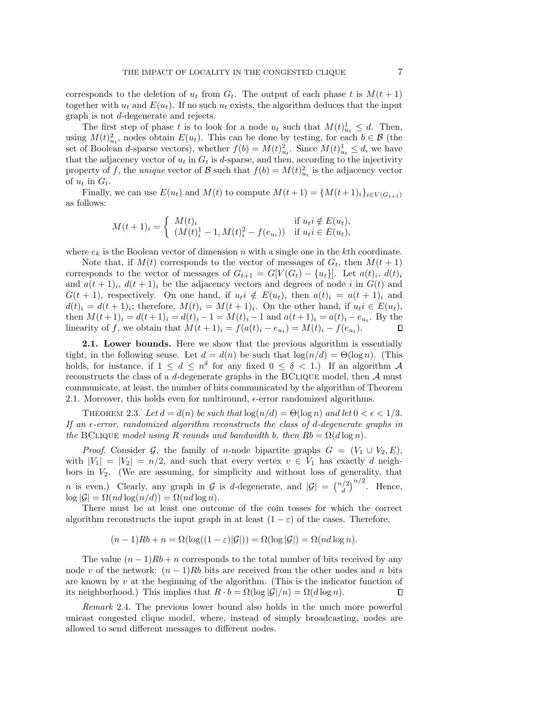corresponds to the deletion of  $u_t$  from  $G_t$ . The output of each phase t is  $M(t + 1)$ together with  $u_t$  and  $E(u_t)$ . If no such  $u_t$  exists, the algorithm deduces that the input graph is not d-degenerate and rejects.

The first step of phase t is to look for a node  $u_t$  such that  $M(t)_{u_t}^1 \leq d$ . Then, using  $M(t)_{u_t}^2$ , nodes obtain  $E(u_t)$ . This can be done by testing, for each  $b \in \mathcal{B}$  (the set of Boolean d-sparse vectors), whether  $f(b) = M(t)_{u_t}^2$ . Since  $M(t)_{u_t}^1 \leq d$ , we have that the adjacency vector of  $u_t$  in  $G_t$  is d-sparse, and then, according to the injectivity property of f, the unique vector of  $\mathcal{B}$  such that  $f(b) = M(t)_{u_t}^2$  is the adjacency vector of  $u_t$  in  $G_t$ .

Finally, we can use  $E(u_t)$  and  $M(t)$  to compute  $M(t + 1) = \{ M(t + 1) \}_{i \in V (G_{t+1})}$ as follows:

$$
M(t+1)_i = \begin{cases} M(t)_i & \text{if } u_t i \notin E(u_t), \\ (M(t)_i^1 - 1, M(t)_i^2 - f(e_{u_t})) & \text{if } u_t i \in E(u_t), \end{cases}
$$

where  $e_k$  is the Boolean vector of dimension n with a single one in the kth coordinate.

Note that, if  $M(t)$  corresponds to the vector of messages of  $G_t$ , then  $M(t + 1)$ corresponds to the vector of messages of  $G_{t+1} = G[V(G_t) - \{u_t\}]$ . Let  $a(t)_i$ ,  $d(t)_i$ and  $a(t+1)<sub>i</sub>$ ,  $d(t+1)<sub>i</sub>$  be the adjacency vectors and degrees of node i in  $G(t)$  and  $G(t + 1)$ , respectively. On one hand, if  $u_t i \notin E(u_t)$ , then  $a(t)_i = a(t + 1)_i$  and  $d(t)_i = d(t+1)_i$ ; therefore,  $M(t)_i = M(t+1)_i$ . On the other hand, if  $u_i i \in E(u_t)$ , then  $M(t+1)_i = d(t+1)_i = d(t)_i - 1 = M(t)_i - 1$  and  $a(t+1)_i = a(t)_i - e_{u_i}$ . By the linearity of f, we obtain that  $M(t+1)_i = f(a(t)_i - e_{u_t}) = M(t)_i - f(e_{u_t}).$  $\Box$ 

2.1. Lower bounds. Here we show that the previous algorithm is essentially tight, in the following sense. Let  $d = d(n)$  be such that  $\log(n/d) = \Theta(\log n)$ . (This holds, for instance, if  $1 \leq d \leq n^{\delta}$  for any fixed  $0 \leq \delta < 1$ .) If an algorithm  $\mathcal A$ reconstructs the class of a *d*-degenerate graphs in the BCLIQUE model, then  $\mathcal A$  must communicate, at least, the number of bits communicated by the algorithm of Theorem [2.1.](#page-5-1) Moreover, this holds even for multiround,  $\epsilon$ -error randomized algorithms.

THEOREM 2.3. Let  $d = d(n)$  be such that  $\log(n/d) = \Theta(\log n)$  and let  $0 < \epsilon < 1/3$ . If an  $\epsilon$ -error, randomized algorithm reconstructs the class of d-degenerate graphs in the BCLIQUE model using R rounds and bandwidth b, then  $Rb = \Omega (d \log n)$ .

*Proof.* Consider  $\mathcal{G}$ , the family of n-node bipartite graphs  $G = (V_1 \cup V_2, E)$ , with  $|V_1| = |V_2| = n/2$ , and such that every vertex  $v \in V_1$  has exactly d neighbors in  $V_2$ . (We are assuming, for simplicity and without loss of generality, that *n* is even.) Clearly, any graph in  $\mathcal G$  is d-degenerate, and  $|\mathcal G | = {n/2 \choose d}^{n/2}$ . Hence,  $\log |\mathcal{G}| = \Omega (nd \log(n/d)) = \Omega (nd \log n).$ 

There must be at least one outcome of the coin tosses for which the correct algorithm reconstructs the input graph in at least  $(1 - \varepsilon)$  of the cases. Therefore,

$$
(n-1)Rb + n = \Omega(\log((1-\varepsilon)|\mathcal{G}|)) = \Omega(\log|\mathcal{G}|) = \Omega(nd\log n).
$$

The value  $(n-1)Rb + n$  corresponds to the total number of bits received by any node v of the network:  $(n-1)Rb$  bits are received from the other nodes and n bits are known by  $v$  at the beginning of the algorithm. (This is the indicator function of its neighborhood.) This implies that  $R \cdot b = \Omega (\log | \mathcal{G} | /n) = \Omega (d \log n)$ .  $\Box$ 

Remark 2.4. The previous lower bound also holds in the much more powerful unicast congested clique model, where, instead of simply broadcasting, nodes are allowed to send different messages to different nodes.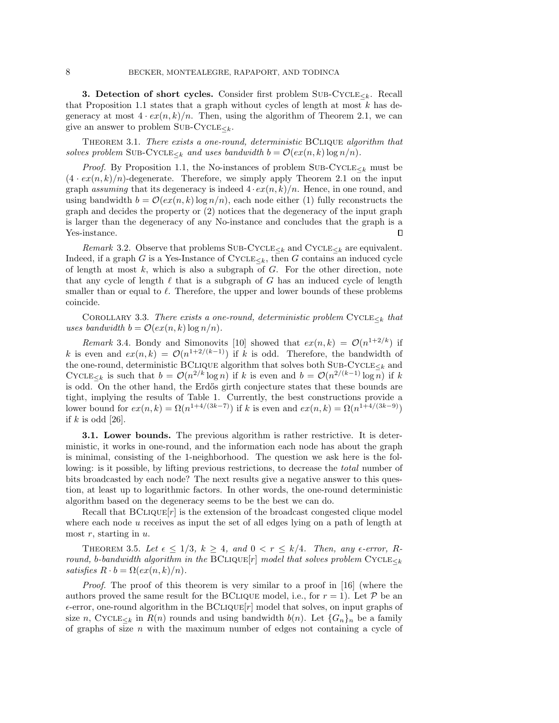<span id="page-7-0"></span>3. Detection of short cycles. Consider first problem SUB-CYCLE $\lt k$ . Recall that Proposition [1.1](#page-4-0) states that a graph without cycles of length at most  $k$  has degeneracy at most  $4 \cdot \frac{ex(n, k)}{n}$ . Then, using the algorithm of Theorem [2.1,](#page-5-1) we can give an answer to problem SUB-CYCLE $\lt k$ .

<span id="page-7-1"></span>Theorem 3.1. There exists a one-round, deterministic BClique algorithm that solves problem SUB-CYCLE<sub> $\lt k$ </sub> and uses bandwidth  $b = \mathcal{O} (ex(n, k) \log n/n)$ .

*Proof.* By Proposition [1.1,](#page-4-0) the No-instances of problem SUB-CYCLE $\epsilon_k$  must be  $(4 \cdot \operatorname{ex}(n, k)/n)$ -degenerate. Therefore, we simply apply Theorem [2.1](#page-5-1) on the input graph assuming that its degeneracy is indeed  $4 \cdot \exp(n, k)/n$ . Hence, in one round, and using bandwidth  $b = \mathcal{O}(ex(n, k) \log n/n)$ , each node either (1) fully reconstructs the graph and decides the property or (2) notices that the degeneracy of the input graph is larger than the degeneracy of any No-instance and concludes that the graph is a Yes-instance. П

Remark 3.2. Observe that problems  $\text{SUB-CYCLE}_{\leq k}$  and  $\text{CYCLE}_{\leq k}$  are equivalent. Indeed, if a graph G is a Yes-Instance of  $\text{CYCLE}_{\leq k}$ , then G contains an induced cycle of length at most  $k$ , which is also a subgraph of  $G$ . For the other direction, note that any cycle of length  $\ell$  that is a subgraph of G has an induced cycle of length smaller than or equal to  $\ell$ . Therefore, the upper and lower bounds of these problems coincide.

COROLLARY 3.3. There exists a one-round, deterministic problem  $\text{CYCLE}_{\leq k}$  that uses bandwidth  $b = \mathcal{O}(ex(n, k) \log n/n)$ .

<span id="page-7-3"></span>Remark 3.4. Bondy and Simonovits [\[10\]](#page-17-14) showed that  $ex(n, k) = \mathcal{O} (n^{1+2/k})$  if k is even and  $ex(n, k) = \mathcal{O}(n^{1+2/(k-1)})$  if k is odd. Therefore, the bandwidth of the one-round, deterministic BCLIQUE algorithm that solves both  $\textsc{Sub-Cycle}\xspace_{\leq k}$  and CYCLE<sub> $\leq k$ </sub> is such that  $b = \mathcal{O} (n^{2/k} \log n)$  if k is even and  $b = \mathcal{O} (n^{2/(k-1)} \log n)$  if k is odd. On the other hand, the Erdős girth conjecture states that these bounds are tight, implying the results of Table [1.](#page-3-0) Currently, the best constructions provide a lower bound for  $ex(n, k) = \Omega(n^{1+4/(3k-7)})$  if k is even and  $ex(n, k) = \Omega (n^{1+4/(3k-9)})$ if  $k$  is odd [\[26\]](#page-18-4).

3.1. Lower bounds. The previous algorithm is rather restrictive. It is deterministic, it works in one-round, and the information each node has about the graph is minimal, consisting of the 1-neighborhood. The question we ask here is the following: is it possible, by lifting previous restrictions, to decrease the *total* number of bits broadcasted by each node? The next results give a negative answer to this question, at least up to logarithmic factors. In other words, the one-round deterministic algorithm based on the degeneracy seems to be the best we can do.

Recall that  $BCLIQUE[r]$  is the extension of the broadcast congested clique model where each node u receives as input the set of all edges lying on a path of length at most  $r$ , starting in  $u$ .

<span id="page-7-2"></span>THEOREM 3.5. Let  $\epsilon \leq 1/3, k \geq 4$ , and  $0 < r \leq k/4$ . Then, any  $\epsilon$ -error, Rround, b-bandwidth algorithm in the BCLIQUE $[r]$  model that solves problem CYCLE $\epsilon_k$ satisfies  $R \cdot b = \Omega (ex(n, k)/n)$ .

Proof. The proof of this theorem is very similar to a proof in [\[16\]](#page-17-4) (where the authors proved the same result for the BCLIQUE model, i.e., for  $r = 1$ ). Let  $\mathcal P$  be an  $\epsilon$ -error, one-round algorithm in the BCLIQUE $[r]$  model that solves, on input graphs of size n, CYCLE<sub> $\lt k$ </sub> in  $R(n)$  rounds and using bandwidth  $b(n)$ . Let  $\{ G_n \}_n$  be a family of graphs of size  $n$  with the maximum number of edges not containing a cycle of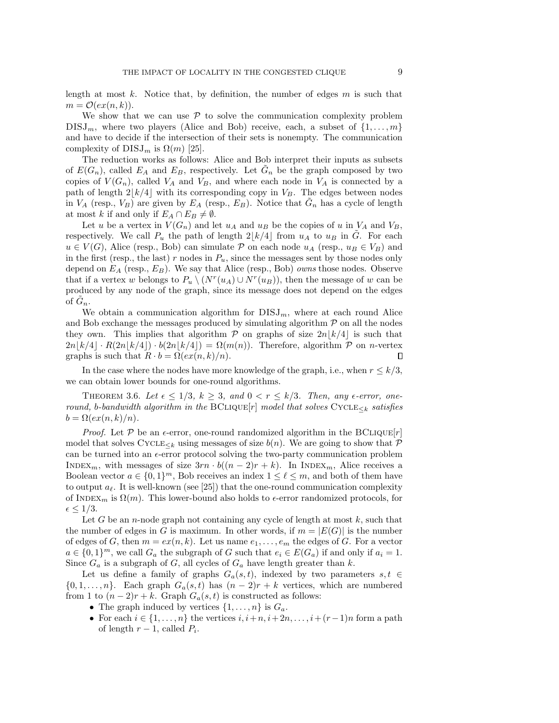length at most  $k$ . Notice that, by definition, the number of edges  $m$  is such that  $m = \mathcal{O} (ex(n, k)).$ 

We show that we can use  $\mathcal P$  to solve the communication complexity problem  $DISJ_m$ , where two players (Alice and Bob) receive, each, a subset of  $\{ 1, \ldots, m\}$ and have to decide if the intersection of their sets is nonempty. The communication complexity of  $DISJ_m$  is  $\Omega (m)$  [\[25\]](#page-17-17).

The reduction works as follows: Alice and Bob interpret their inputs as subsets of  $E(G_n)$ , called  $E_A$  and  $E_B$ , respectively. Let  $\tilde{G}_n$  be the graph composed by two copies of  $V(G_n)$ , called  $V_A$  and  $V_B$ , and where each node in  $V_A$  is connected by a path of length  $2\lfloor k/4\rfloor$  with its corresponding copy in  $V_B$ . The edges between nodes in  $V_A$  (resp.,  $V_B$ ) are given by  $E_A$  (resp.,  $E_B$ ). Notice that  $\tilde{G}_n$  has a cycle of length at most k if and only if  $E_A \cap E_B \neq \emptyset$ .

Let u be a vertex in  $V(G_n)$  and let  $u_A$  and  $u_B$  be the copies of u in  $V_A$  and  $V_B$ , respectively. We call  $P_u$  the path of length  $2\lfloor k/4\rfloor$  from  $u_A$  to  $u_B$  in G. For each  $u \in V (G)$ , Alice (resp., Bob) can simulate  $\mathcal P$  on each node  $u_A$  (resp.,  $u_B \in V_B$ ) and in the first (resp., the last) r nodes in  $P_u$ , since the messages sent by those nodes only depend on  $E_A$  (resp.,  $E_B$ ). We say that Alice (resp., Bob) *owns* those nodes. Observe that if a vertex w belongs to  $P_u \setminus (N^r(u_A) \cup N^r(u_B))$ , then the message of w can be produced by any node of the graph, since its message does not depend on the edges of  $\tilde{G}_n$ .

We obtain a communication algorithm for  $DISJ_m$ , where at each round Alice and Bob exchange the messages produced by simulating algorithm  $\mathcal P$  on all the nodes they own. This implies that algorithm  $\mathcal P$  on graphs of size  $2n\vert k/4\vert$  is such that  $2n\left|k/4\right| \cdot R(2n\left|k/4\right|) \cdot b(2n\left|k/4\right| ) = \Omega (m(n)).$  Therefore, algorithm  $\mathcal P$  on n-vertex graphs is such that  $R \cdot b = \Omega (ex(n, k)/n)$ .  $\Box$ 

In the case where the nodes have more knowledge of the graph, i.e., when  $r \leq k/3$ , we can obtain lower bounds for one-round algorithms.

<span id="page-8-0"></span>THEOREM 3.6. Let  $\epsilon \leq 1/3, k \geq 3$ , and  $0 < r \leq k/3$ . Then, any  $\epsilon$ -error, oneround, b-bandwidth algorithm in the BCLIQUE $[r]$  model that solves CYCLE $\lt_k$  satisfies  $b = \Omega (ex(n, k)/n).$ 

*Proof.* Let  $\mathcal P$  be an  $\epsilon$ -error, one-round randomized algorithm in the BCLIQUE $[r]$ model that solves CYCLE<sub> $\lt k$ </sub> using messages of size  $b(n)$ . We are going to show that  $\mathcal P$ can be turned into an  $\epsilon$ -error protocol solving the two-party communication problem INDEX<sub>m</sub>, with messages of size  $3rn \cdot b((n - 2)r + k)$ . In INDEX<sub>m</sub>, Alice receives a Boolean vector  $a \in \{ 0, 1\}^m$ , Bob receives an index  $1 \leq \ell \leq m$ , and both of them have to output  $a_\ell$ . It is well-known (see [\[25\]](#page-17-17)) that the one-round communication complexity of INDEX<sub>m</sub> is  $\Omega (m)$ . This lower-bound also holds to  $\epsilon$ -error randomized protocols, for  $\epsilon \leq 1/3.$ 

Let G be an n-node graph not containing any cycle of length at most  $k$ , such that the number of edges in G is maximum. In other words, if  $m = |E(G)|$  is the number of edges of G, then  $m = ex(n, k)$ . Let us name  $e_1, \ldots, e_m$  the edges of G. For a vector  $a \in \{ 0, 1\}^m$ , we call  $G_a$  the subgraph of G such that  $e_i \in E(G_a)$  if and only if  $a_i = 1$ . Since  $G_a$  is a subgraph of G, all cycles of  $G_a$  have length greater than k.

Let us define a family of graphs  $G_a(s, t)$ , indexed by two parameters  $s, t \in$  $\{ 0, 1, \ldots, n\}$ . Each graph  $G_a(s, t)$  has  $(n - 2)r + k$  vertices, which are numbered from 1 to  $(n-2)r + k$ . Graph  $G_a(s,t)$  is constructed as follows:

- $\bullet$  The graph induced by vertices  $\{ 1, \ldots, n\}$  is  $G_a$ .
- $\bullet$  For each  $i \in \{ 1, ..., n\}$  the vertices  $i, i+n, i+ 2n, ..., i+(r 1)n$  form a path of length  $r-1$ , called  $P_i$ .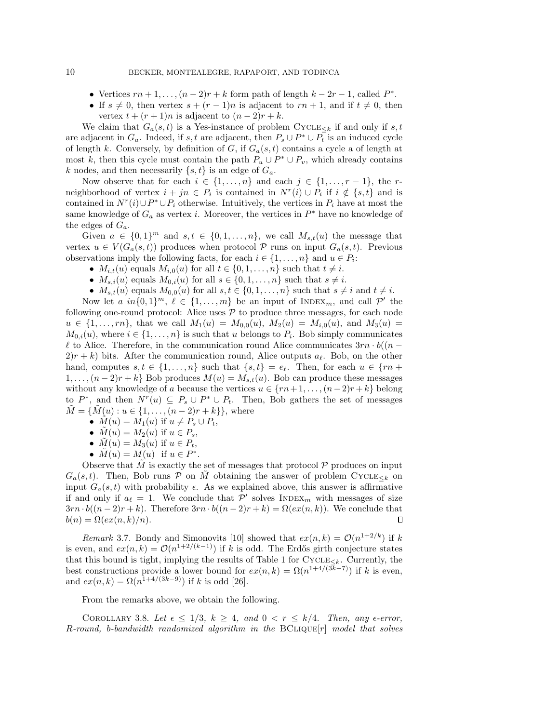- Vertices  $rn + 1, \ldots, (n 2)r + k$  form path of length  $k 2r 1$ , called  $P^*$ .
- $\bullet$  If  $s \neq 0$ , then vertex  $s + (r 1)n$  is adjacent to  $rn + 1$ , and if  $t \neq 0$ , then vertex  $t + (r + 1)n$  is adjacent to  $(n - 2)r + k$ .

We claim that  $G_a(s, t)$  is a Yes-instance of problem CYCLE<sub> $\leq k$ </sub> if and only if s, t are adjacent in  $G_a$ . Indeed, if s, t are adjacent, then  $P_s \cup P^* \cup P_t$  is an induced cycle of length k. Conversely, by definition of G, if  $G_a(s, t)$  contains a cycle a of length at most k, then this cycle must contain the path  $P_u \cup P^* \cup P_v$ , which already contains k nodes, and then necessarily  $\{ s, t\}$  is an edge of  $G_a$ .

Now observe that for each  $i \in \{ 1, ..., n\}$  and each  $j \in \{ 1, ..., r - 1\}$ , the rneighborhood of vertex  $i + jn \in P_i$  is contained in  $N^r(i) \cup P_i$  if  $i \notin \{s, t\}$  and is contained in  $N^r(i) \cup P^* \cup P_i$  otherwise. Intuitively, the vertices in  $P_i$  have at most the same knowledge of  $G_a$  as vertex *i*. Moreover, the vertices in  $P^*$  have no knowledge of the edges of  $G_a$ .

Given  $a \in \{ 0, 1\}^m$  and  $s, t \in \{ 0, 1, ..., n\}$ , we call  $M_{s,t}(u)$  the message that vertex  $u \in V (G_a(s, t))$  produces when protocol  $\mathcal P$  runs on input  $G_a(s, t)$ . Previous observations imply the following facts, for each  $i \in \{ 1, ..., n\}$  and  $u \in P_i$ :

- $\bullet$   $M_{i,t}(u)$  equals  $M_{i,0}(u)$  for all  $t \in \{ 0, 1, \ldots, n\}$  such that  $t \neq i$ .
- $\bullet$   $M_{s,i}(u)$  equals  $M_{0,i}(u)$  for all  $s \in \{ 0, 1, \ldots, n\}$  such that  $s \neq i$ .
- $\bullet$   $M_{s,t}(u)$  equals  $M_{0,0}(u)$  for all  $s, t \in \{ 0, 1, \ldots, n\}$  such that  $s \neq i$  and  $t \neq i$ .

Now let a  $in\{ 0, 1\}^m$ ,  $\ell \in \{ 1, ..., m\}$  be an input of INDEX<sub>m</sub>, and call  $\mathcal{P}'$  the following one-round protocol: Alice uses  $\mathcal P$  to produce three messages, for each node  $u \in \{ 1, ..., rn \}$ , that we call  $M_1(u) = M_{0,0}(u), M_2(u) = M_{i,0}(u)$ , and  $M_3(u) =$  $M_{0,i}(u)$ , where  $i \in \{ 1, ..., n\}$  is such that u belongs to  $P_i$ . Bob simply communicates  $\ell$  to Alice. Therefore, in the communication round Alice communicates  $3rn \cdot b((n - \ell)$  $2(r + k)$  bits. After the communication round, Alice outputs  $a_{\ell}$ . Bob, on the other hand, computes  $s, t \in \{ 1, ..., n\}$  such that  $\{ s, t\} = e_{\ell}$ . Then, for each  $u \in \{ rn +$  $1, \ldots, (n-2)r+k$  Bob produces  $M(u) = M_{s,t}(u)$ . Bob can produce these messages without any knowledge of a because the vertices  $u \in \{ rn + 1, \ldots, (n - 2)r + k\}$  belong to  $P^*$ , and then  $N^r(u) \subseteq P_s \cup P^* \cup P_t$ . Then, Bob gathers the set of messages  $\tilde{M} = \{ \tilde{M}(u) : u \in \{ 1, \ldots, (n - 2)r + k\} \}$ , where

- $\bullet$   $M(u) = M_1(u)$  if  $u \neq P_s \cup P_t$ ,
- $\bullet$   $M(u) = M_2(u)$  if  $u \in P_s$ ,
- $\bullet$   $M(u) = M_3(u)$  if  $u \in P_t$ ,
- $\tilde M(u) = M(u)$  if  $u \in P^*$ .

Observe that M is exactly the set of messages that protocol  $\mathcal P$  produces on input  $G_a(s, t)$ . Then, Bob runs  $\mathcal P$  on M obtaining the answer of problem CYCLE $\lt k$  on input  $G_a(s, t)$  with probability  $\epsilon$ . As we explained above, this answer is affirmative if and only if  $a_\ell = 1$ . We conclude that  $\mathcal{P}'$  solves INDEX<sub>m</sub> with messages of size  $3rn \cdot b((n - 2)r + k)$ . Therefore  $3rn \cdot b((n - 2)r + k) = \Omega (ex(n, k))$ . We conclude that  $b(n) = \Omega (ex(n, k)/n).$  $\Box$ 

Remark 3.7. Bondy and Simonovits [\[10\]](#page-17-14) showed that  $ex(n, k) = \mathcal{O} (n^{1+2/k})$  if k is even, and  $ex(n, k) = \mathcal{O}(n^{1+2/(k-1)})$  if k is odd. The Erdős girth conjecture states that this bound is tight, implying the results of Table [1](#page-3-0) for  $\text{CYCLE}_{\leq k}$ . Currently, the best constructions provide a lower bound for  $ex(n, k) = \Omega (n^{1+4/(\sqrt{3k}-7)})$  if k is even, and  $ex(n, k) = \Omega (n^{1+4/(3k-9)})$  if k is odd [\[26\]](#page-18-4).

From the remarks above, we obtain the following.

COROLLARY 3.8. Let  $\epsilon \leq 1/3, k \geq 4$ , and  $0 < r \leq k/4$ . Then, any  $\epsilon$ -error,  $R$ -round, b-bandwidth randomized algorithm in the  $BCLIQUE[r]$  model that solves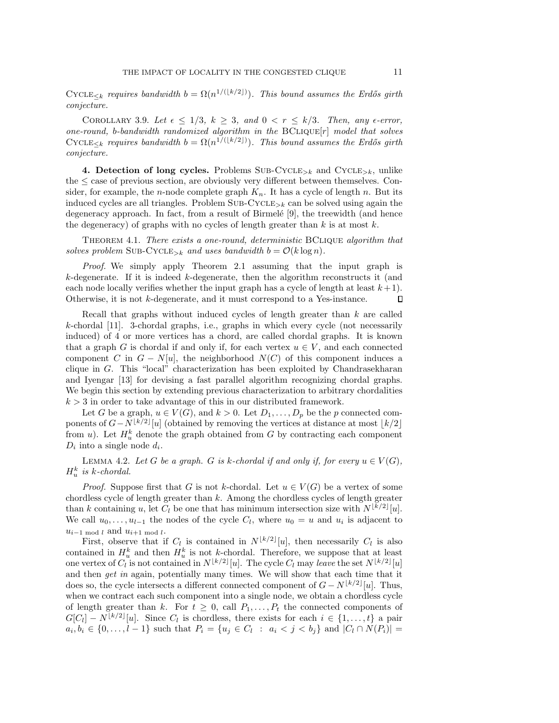$\text{CYCLE}_{\leq k}$  requires bandwidth  $b = \Omega (n^{1/(\lfloor k/2 \rfloor)})$ . This bound assumes the Erdős girth conjecture.

COROLLARY 3.9. Let  $\epsilon \leq 1/3, k \geq 3$ , and  $0 < r \leq k/3$ . Then, any  $\epsilon$ -error, one-round, b-bandwidth randomized algorithm in the  $BCLIQUE[r]$  model that solves  $\text{CYCLE}_{\leq k}$  requires bandwidth  $b = \Omega (n^{1/(\lfloor k/2 \rfloor)})$ . This bound assumes the Erdős girth conjecture.

<span id="page-10-0"></span>4. Detection of long cycles. Problems SUB-CYCLE<sub>>k</sub> and CYCLE<sub>>k</sub>, unlike the  $\leq$  case of previous section, are obviously very different between themselves. Consider, for example, the *n*-node complete graph  $K_n$ . It has a cycle of length n. But its induced cycles are all triangles. Problem  $SUB-CYCLE_{\geq k}$  can be solved using again the degeneracy approach. In fact, from a result of Birmel\'e [\[9\]](#page-17-19), the treewidth (and hence the degeneracy) of graphs with no cycles of length greater than  $k$  is at most  $k$ .

<span id="page-10-1"></span>THEOREM 4.1. There exists a one-round, deterministic BCLIQUE algorithm that solves problem SUB-CYCLE<sub>>k</sub> and uses bandwidth  $b = \mathcal{O}(k \log n)$ .

Proof. We simply apply Theorem [2.1](#page-5-1) assuming that the input graph is  $k$ -degenerate. If it is indeed  $k$ -degenerate, then the algorithm reconstructs it (and each node locally verifies whether the input graph has a cycle of length at least  $k+1$ . Otherwise, it is not k-degenerate, and it must correspond to a Yes-instance.  $\Box$ 

Recall that graphs without induced cycles of length greater than k are called k-chordal [\[11\]](#page-17-20). 3-chordal graphs, i.e., graphs in which every cycle (not necessarily induced) of 4 or more vertices has a chord, are called chordal graphs. It is known that a graph G is chordal if and only if, for each vertex  $u \in V$ , and each connected component C in  $G - N[u]$ , the neighborhood  $N(C)$  of this component induces a clique in  $G$ . This "local" characterization has been exploited by Chandrasekharan and Iyengar [\[13\]](#page-17-21) for devising a fast parallel algorithm recognizing chordal graphs. We begin this section by extending previous characterization to arbitrary chordalities  $k > 3$  in order to take advantage of this in our distributed framework.

Let G be a graph,  $u \in V (G)$ , and  $k > 0$ . Let  $D_1, \ldots, D_p$  be the p connected components of  $G - N^{\lfloor k/2\rfloor}[u]$  (obtained by removing the vertices at distance at most  $\lfloor k/2\rfloor$ from u). Let  $H_u^k$  denote the graph obtained from G by contracting each component  $D_i$  into a single node  $d_i$ .

<span id="page-10-2"></span>LEMMA 4.2. Let G be a graph. G is k-chordal if and only if, for every  $u \in V (G)$ ,  $H_u^k$  is k-chordal.

*Proof.* Suppose first that G is not k-chordal. Let  $u \in V (G)$  be a vertex of some chordless cycle of length greater than  $k$ . Among the chordless cycles of length greater than k containing u, let  $C_l$  be one that has minimum intersection size with  $N^{\lfloor k/2\rfloor}[u]$ . We call  $u_0, \ldots, u_{l-1}$  the nodes of the cycle  $C_l$ , where  $u_0 = u$  and  $u_i$  is adjacent to  $u_{i-1 \mod l}$  and  $u_{i+1 \mod l}$ .

First, observe that if  $C_l$  is contained in  $N^{\lfloor k/2\rfloor}[u]$ , then necessarily  $C_l$  is also contained in  $H_u^k$  and then  $H_u^k$  is not k-chordal. Therefore, we suppose that at least one vertex of  $C_l$  is not contained in  $N^{\lfloor k/2\rfloor}[u]$ . The cycle  $C_l$  may leave the set  $N^{\lfloor k/2\rfloor}[u]$ and then get in again, potentially many times. We will show that each time that it does so, the cycle intersects a different connected component of  $G - N^{\lfloor k/2\rfloor}[u]$ . Thus, when we contract each such component into a single node, we obtain a chordless cycle of length greater than k. For  $t \geq 0$ , call  $P_1, \ldots, P_t$  the connected components of  $G[C_l] - N^{\lfloor k/2\rfloor}[u]$ . Since  $C_l$  is chordless, there exists for each  $i \in \{ 1, \ldots, t\}$  a pair  $a_i, b_i \in \{ 0, \ldots, l - 1\}$  such that  $P_i = \{ u_j \in C_l : a_i < j < b_j \}$  and  $|C_l \cap N(P_i)| =$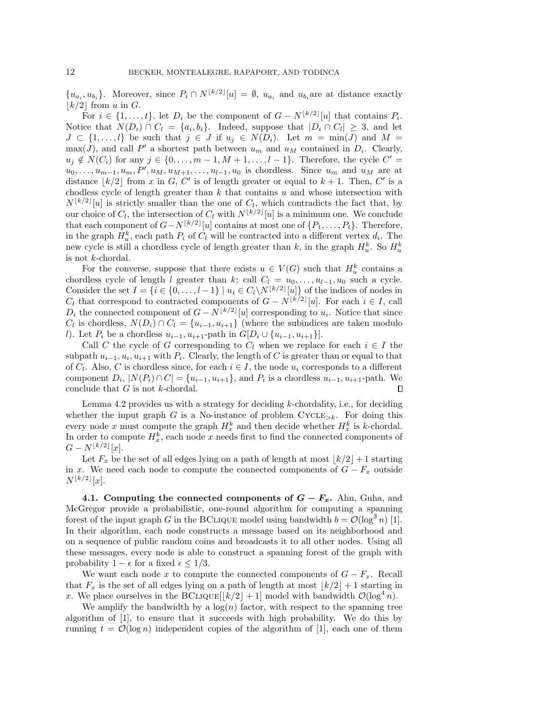$\{u_{a_i}, u_{b_i}\}.$  Moreover, since  $P_i \cap N^{\lfloor k/2\rfloor}[u] = \emptyset$ ,  $u_{a_i}$  and  $u_{b_i}$ are at distance exactly  $\lfloor k/2\rfloor$  from u in G.

For  $i \in \{ 1, ..., t\}$ , let  $D_i$  be the component of  $G - N^{\lfloor k/2\rfloor}[u]$  that contains  $P_i$ . Notice that  $N(D_i) \cap C_l = \{a_i, b_i\}$ . Indeed, suppose that  $|D_i \cap C_l| \geq 3$ , and let  $J \subset \{ 1, ..., l\}$  be such that  $j \in J$  if  $u_j \in N(D_i)$ . Let  $m = \min(J)$  and  $M =$  $\max(J)$ , and call P' a shortest path between  $u_m$  and  $u_M$  contained in  $D_i$ . Clearly,  $u_j \notin N(C_i)$  for any  $j \in \{ 0, ..., m - 1, M + 1, ..., l - 1\}$ . Therefore, the cycle  $C' =$  $u_0, \ldots, u_{m-1}, u_m, P', u_M, u_{M+1}, \ldots, u_{l-1}, u_0$  is chordless. Since  $u_m$  and  $u_M$  are at distance  $\lfloor k/2 \rfloor$  from x in G, C' is of length greater or equal to  $k + 1$ . Then, C' is a chodless cycle of length greater than  $k$  that contains  $u$  and whose intersection with  $N^{\lfloor k/2\rfloor}[u]$  is strictly smaller than the one of  $C_l$ , which contradicts the fact that, by our choice of  $C_l$ , the intersection of  $C_l$  with  $N^{\lfloor k/2\rfloor}[u]$  is a minimum one. We conclude that each component of  $G - N^{\lfloor k/2\rfloor}[u]$  contains at most one of  $\{ P_1, \ldots, P_t\}$ . Therefore, in the graph  $H_u^k$ , each path  $P_i$  of  $C_l$  will be contracted into a different vertex  $d_i$ . The new cycle is still a chordless cycle of length greater than  $k$ , in the graph  $H_u^k$ . So  $H_u^k$ is not  $k$ -chordal.

For the converse, suppose that there exists  $u \in V(G)$  such that  $H_u^k$  contains a chordless cycle of length *l* greater than *k*; call  $C_l = u_0, \ldots, u_{l-1}, u_0$  such a cycle. Consider the set  $I = \{ i \in \{ 0, ..., l - 1\} \mid u_i \in C_l\backslash N^{\lfloor k/2\rfloor}[u] \}$  of the indices of nodes in  $C_l$  that correspond to contracted components of  $G - N^{\lfloor k/2\rfloor}[u]$ . For each  $i \in I$ , call  $D_i$  the connected component of  $G - N^{\lfloor k/2 \rfloor}[u]$  corresponding to  $u_i$ . Notice that since  $C_l$  is chordless,  $N(D_i) \cap C_l = \{ u_{i-1}, u_{i+1}\}$  (where the subindices are taken modulo l). Let  $P_i$  be a chordless  $u_{i-1}, u_{i+1}$ -path in  $G[D_i \cup \{ u_{i-1}, u_{i+1}\}].$ 

Call C the cycle of G corresponding to  $C_l$  when we replace for each  $i \in I$  the subpath  $u_{i-1}, u_i, u_{i+1}$  with  $P_i$ . Clearly, the length of C is greater than or equal to that of  $C_l$ . Also, C is chordless since, for each  $i \in I$ , the node  $u_i$  corresponds to a different component  $D_i$ ,  $|N(P_i) \cap C| = \{u_{i-1}, u_{i+1}\}$ , and  $P_i$  is a chordless  $u_{i-1}, u_{i+1}$ -path. We conclude that  $G$  is not  $k$ -chordal.  $\Box$ 

Lemma [4.2](#page-10-2) provides us with a strategy for deciding k-chordality, i.e., for deciding whether the input graph G is a No-instance of problem  $\text{CYCLE}_{\geq k}$ . For doing this every node x must compute the graph  $H_x^k$  and then decide whether  $H_x^k$  is k-chordal. In order to compute  $H_x^k$ , each node x needs first to find the connected components of  $G - N^{\lfloor k/2 \rfloor}[x].$ 

Let  $F_x$  be the set of all edges lying on a path of length at most  $\left| k/2\right| + 1$  starting in x. We need each node to compute the connected components of  $G - F_x$  outside  $N^{\lfloor k/2\rfloor}[x].$ 

4.1. Computing the connected components of  $\bf{G} - \bf{F}$ . Ahn, Guha, and McGregor provide a probabilistic, one-round algorithm for computing a spanning forest of the input graph G in the BCLIQUE model using bandwidth  $b = \mathcal{O} (\log^3 n)$  [\[1\]](#page-16-0). In their algorithm, each node constructs a message based on its neighborhood and on a sequence of public random coins and broadcasts it to all other nodes. Using all these messages, every node is able to construct a spanning forest of the graph with probability  $1 - \epsilon$  for a fixed  $\epsilon \leq 1/3$ .

We want each node x to compute the connected components of  $G - F_x$ . Recall that  $F_x$  is the set of all edges lying on a path of length at most  $\vert k/2\vert + 1$  starting in x. We place ourselves in the BCLIQUE  $\left|\frac{k}{2}+1\right|$  model with bandwidth  $\mathcal{O}(\log^4 n)$ .

We amplify the bandwidth by a  $log(n)$  factor, with respect to the spanning tree algorithm of [\[1\]](#page-16-0), to ensure that it succeeds with high probability. We do this by running  $t = \mathcal{O}(\log n)$  independent copies of the algorithm of [\[1\]](#page-16-0), each one of them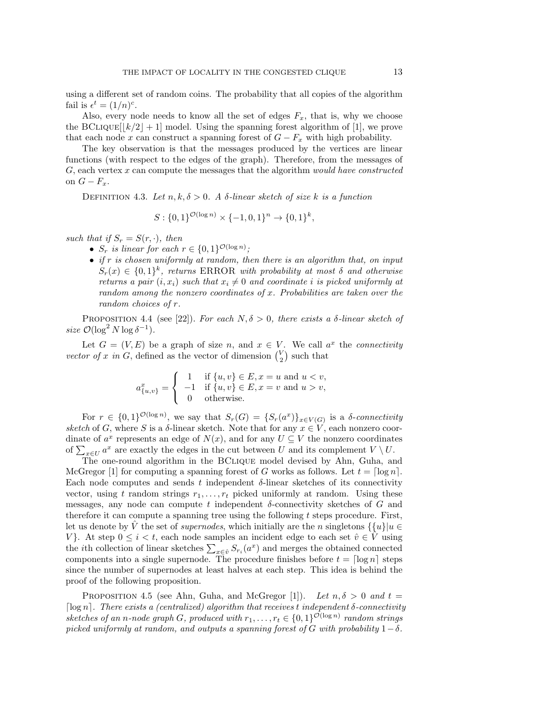using a different set of random coins. The probability that all copies of the algorithm fail is  $\epsilon^t = (1/n)^c$ .

Also, every node needs to know all the set of edges  $F_x$ , that is, why we choose the BCLIQUE $\left[\left|k/2\right| + 1\right]$  model. Using the spanning forest algorithm of [\[1\]](#page-16-0), we prove that each node x can construct a spanning forest of  $G - F_x$  with high probability.

The key observation is that the messages produced by the vertices are linear functions (with respect to the edges of the graph). Therefore, from the messages of  $G$ , each vertex  $x$  can compute the messages that the algorithm *would have constructed* on  $G - F_x$ .

DEFINITION 4.3. Let  $n, k, \delta > 0$ . A  $\delta$ -linear sketch of size k is a function

$$
S: \{0,1\}^{\mathcal{O}(\log n)} \times \{-1,0,1\}^n \to \{0,1\}^k,
$$

such that if  $S_r = S(r, \cdot )$ , then

- $S_r$  is linear for each  $r \in \{ 0, 1\}^{\mathcal{O}(\log n)}$ ;
- $\bullet$  if r is chosen uniformly at random, then there is an algorithm that, on input  $S_r(x) \in \{ 0, 1\}^k$ , returns ERROR with probability at most  $\delta$  and otherwise returns a pair  $(i, x_i)$  such that  $x_i \neq 0$  and coordinate i is picked uniformly at random among the nonzero coordinates of  $x$ . Probabilities are taken over the random choices of r.

PROPOSITION 4.4 (see [\[22\]](#page-17-16)). For each  $N, \delta > 0$ , there exists a  $\delta$ -linear sketch of size  $\mathcal{O}(\log^2 N \log \delta^{-1}).$ 

Let  $G = (V, E)$  be a graph of size n, and  $x \in V$ . We call  $a^x$  the connectivity vector of x in G, defined as the vector of dimension  $\binom{V}{2}$  such that

$$
a_{\{u,v\}}^x = \begin{cases} 1 & \text{if } \{u,v\} \in E, x = u \text{ and } u < v, \\ -1 & \text{if } \{u,v\} \in E, x = v \text{ and } u > v, \\ 0 & \text{otherwise.} \end{cases}
$$

For  $r \in \{ 0, 1\}^{\mathcal{O}(\log n)}$ , we say that  $S_r(G) = \{ S_r(a^x) \}_{x \in V(G)}$  is a  $\delta$ -connectivity sketch of G, where S is a  $\delta$ -linear sketch. Note that for any  $x \in V$ , each nonzero coordinate of  $a^x$  represents an edge of  $N(x)$ , and for any  $U \subseteq V$  the nonzero coordinates of  $\sum_{x\in U} a^x$  are exactly the edges in the cut between U and its complement  $V \setminus U$ .

The one-round algorithm in the BClique model devised by Ahn, Guha, and McGregor [\[1\]](#page-16-0) for computing a spanning forest of G works as follows. Let  $t = \lceil \log n \rceil$ . Each node computes and sends t independent  $\delta$ -linear sketches of its connectivity vector, using t random strings  $r_1, \ldots, r_t$  picked uniformly at random. Using these messages, any node can compute t independent  $\delta$ -connectivity sketches of G and therefore it can compute a spanning tree using the following  $t$  steps procedure. First, let us denote by  $\hat{V}$  the set of supernodes, which initially are the n singletons  $\{ \{ u\} | u \in$ V}. At step  $0 \leq i < t$ , each node samples an incident edge to each set  $\hat{v} \in V$  using the *i*th collection of linear sketches  $\sum_{x \in \hat{v}} S_{r_i}(a^x)$  and merges the obtained connected components into a single supernode. The procedure finishes before  $t = \lceil \log n \rceil$  steps since the number of supernodes at least halves at each step. This idea is behind the proof of the following proposition.

<span id="page-12-1"></span><span id="page-12-0"></span>PROPOSITION 4.5 (see Ahn, Guha, and McGregor [\[1\]](#page-16-0)). Let  $n, \delta > 0$  and  $t =$  $\lceil \log n \rceil$ . There exists a (centralized) algorithm that receives t independent  $\delta$ -connectivity sketches of an n-node graph G, produced with  $r_1, \ldots, r_t \in \{ 0, 1\}^{\mathcal{O}(\log n)}$  random strings picked uniformly at random, and outputs a spanning forest of G with probability  $1 - \delta$ .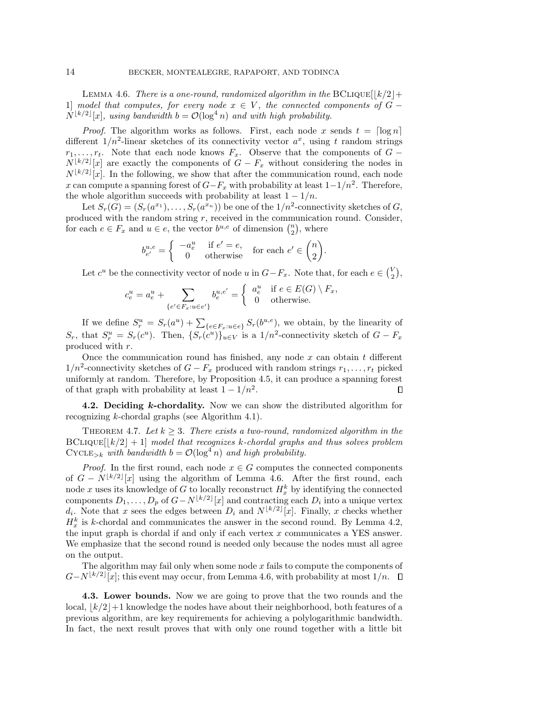LEMMA 4.6. There is a one-round, randomized algorithm in the BCLIQUE $\left|\left|\frac{k}{2}\right|\right.$ 1] model that computes, for every node  $x \in V$ , the connected components of  $\overline{G}$  - $N^{\lfloor k/2\rfloor}[x]$ , using bandwidth  $b = \mathcal{O}(\log^4 n)$  and with high probability.

*Proof.* The algorithm works as follows. First, each node x sends  $t = \lceil \log n \rceil$ different  $1/n^2$ -linear sketches of its connectivity vector  $a^x$ , using t random strings  $r_1, \ldots, r_t$ . Note that each node knows  $F_x$ . Observe that the components of  $G$  - $N^{\lfloor k/2\rfloor}[x]$  are exactly the components of  $G - F_x$  without considering the nodes in  $N^{\lfloor k/2\rfloor}[x]$ . In the following, we show that after the communication round, each node x can compute a spanning forest of  $G-F_x$  with probability at least  $1-1/n^2$ . Therefore, the whole algorithm succeeds with probability at least  $1 - 1/n$ .

Let  $S_r(G) = (S_r(a^{x_1}), \ldots, S_r(a^{x_n}))$  be one of the  $1/n^2$ -connectivity sketches of G, produced with the random string  $r$ , received in the communication round. Consider, for each  $e \in F_x$  and  $u \in e$ , the vector  $b^{u,e}$  of dimension  $\binom{n}{2}$ , where

$$
b^{u,e}_{e'} = \begin{cases} -a^u_e & \text{if } e'=e, \\ 0 & \text{otherwise} \end{cases} \text{ for each } e' \in \binom{n}{2}
$$

Let  $c^u$  be the connectivity vector of node u in  $G-F_x$ . Note that, for each  $e \in {\binom{V}{2}}$ ,

.

$$
c_e^u = a_e^u + \sum_{\{e' \in F_x : u \in e'\}} b_e^{u, e'} = \begin{cases} a_e^u & \text{if } e \in E(G) \setminus F_x, \\ 0 & \text{otherwise.} \end{cases}
$$

If we define  $S_r^u = S_r(a^u) + \sum_{\{e \in F_x: u \in e\}} S_r(b^{u,e})$ , we obtain, by the linearity of  $S_r$ , that  $S_r^u = S_r(c^u)$ . Then,  $\{ S_r(c^u) \}_{u \in V}$  is a  $1/n^2$ -connectivity sketch of  $G - F_x$ produced with r.

Once the communication round has finished, any node  $x$  can obtain  $t$  different  $1/n^2$ -connectivity sketches of  $G - F_x$  produced with random strings  $r_1, \ldots, r_t$  picked uniformly at random. Therefore, by Proposition [4.5,](#page-12-0) it can produce a spanning forest of that graph with probability at least  $1 - 1/n^2$ .  $\Box$ 

4.2. Deciding k-chordality. Now we can show the distributed algorithm for recognizing k-chordal graphs (see Algorithm [4.1\)](#page-14-1).

<span id="page-13-0"></span>THEOREM 4.7. Let  $k \geq 3$ . There exists a two-round, randomized algorithm in the  $BCLIQUE[|k/2| + 1]$  model that recognizes k-chordal graphs and thus solves problem  $\text{CYCLE}_{\geq k}$  with bandwidth  $b = \mathcal{O}(\log^4 n)$  and high probability.

*Proof.* In the first round, each node  $x \in G$  computes the connected components of  $G - N^{\lfloor k/2\rfloor}[x]$  using the algorithm of Lemma [4.6.](#page-12-1) After the first round, each node x uses its knowledge of G to locally reconstruct  $H_x^k$  by identifying the connected components  $D_1, \ldots, D_p$  of  $G - N^{\lfloor k/2 \rfloor}[x]$  and contracting each  $D_i$  into a unique vertex  $d_i$ . Note that x sees the edges between  $D_i$  and  $N^{\lfloor k/2\rfloor}[x]$ . Finally, x checks whether  $H_x^k$  is k-chordal and communicates the answer in the second round. By Lemma [4.2,](#page-10-2) the input graph is chordal if and only if each vertex  $x$  communicates a YES answer. We emphasize that the second round is needed only because the nodes must all agree on the output.

The algorithm may fail only when some node  $x$  fails to compute the components of  $G-N^{\lfloor k/2\rfloor}[x];$  this event may occur, from Lemma [4.6,](#page-12-1) with probability at most  $1/n$ .

4.3. Lower bounds. Now we are going to prove that the two rounds and the local,  $\lfloor k/2\rfloor +1$  knowledge the nodes have about their neighborhood, both features of a previous algorithm, are key requirements for achieving a polylogarithmic bandwidth. In fact, the next result proves that with only one round together with a little bit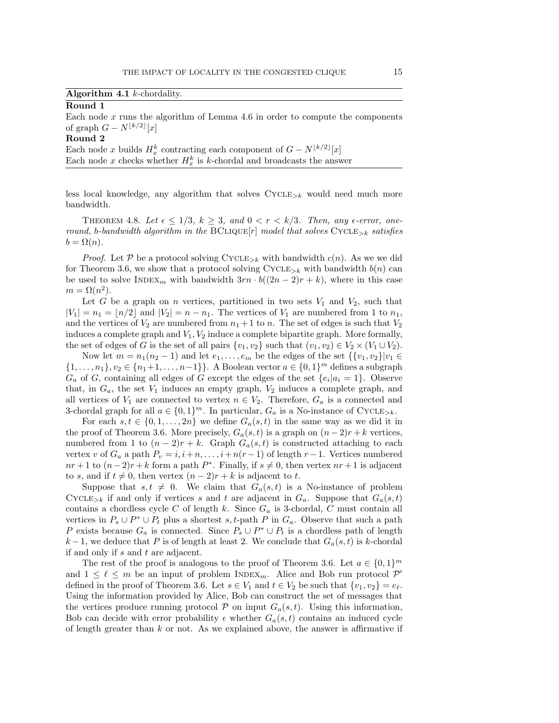|  |  | Algorithm 4.1 $k$ -chordality. |
|--|--|--------------------------------|
|--|--|--------------------------------|

### <span id="page-14-1"></span>Round 1

Each node  $x$  runs the algorithm of Lemma [4.6](#page-12-1) in order to compute the components of graph  $G - N^{\lfloor k/2 \rfloor}[x]$ 

## Round 2

Each node x builds  $H_x^k$  contracting each component of  $G - N^{\lfloor k/2\rfloor}[x]$ Each node x checks whether  $H_x^k$  is k-chordal and broadcasts the answer

less local knowledge, any algorithm that solves  $CYCLE_{\geq k}$  would need much more bandwidth.

<span id="page-14-0"></span>THEOREM 4.8. Let  $\epsilon \leq 1/3, k \geq 3$ , and  $0 < r < k/3$ . Then, any  $\epsilon$ -error, oneround, b-bandwidth algorithm in the BCLIQUE $[r]$  model that solves CYCLE<sub>>k</sub> satisfies  $b = \Omega (n).$ 

*Proof.* Let  $\mathcal P$  be a protocol solving CYCLE<sub>>k</sub> with bandwidth c(n). As we we did for Theorem [3.6,](#page-8-0) we show that a protocol solving  $\text{CYCLE}_{\geq k}$  with bandwidth  $b(n)$  can be used to solve INDEX<sub>m</sub> with bandwidth  $3rn \cdot b((2n - 2)r + k)$ , where in this case  $m = \Omega (n^2)$ .

Let G be a graph on n vertices, partitioned in two sets  $V_1$  and  $V_2$ , such that  $|V_1| = n_1 = \lfloor n/2\rfloor$  and  $|V_2| = n - n_1$ . The vertices of  $V_1$  are numbered from 1 to  $n_1$ , and the vertices of  $V_2$  are numbered from  $n_1 + 1$  to n. The set of edges is such that  $V_2$ induces a complete graph and  $V_1, V_2$  induce a complete bipartite graph. More formally, the set of edges of G is the set of all pairs  $\{ v_1, v_2\}$  such that  $(v_1, v_2) \in V_2 \times (V_1 \cup V_2)$ .

Now let  $m = n_1(n_2 - 1)$  and let  $e_1, \ldots, e_m$  be the edges of the set  $\{ \{ v_1, v_2\} | v_1 \in$  $\{ 1, \ldots, n_1\} , v_2 \in \{ n_1 +1, \ldots, n - 1\} \}$ . A Boolean vector  $a \in \{ 0, 1\}^m$  defines a subgraph  $G_a$  of G, containing all edges of G except the edges of the set  $\{ e_i | a_i = 1 \}$ . Observe that, in  $G_a$ , the set  $V_1$  induces an empty graph,  $V_2$  induces a complete graph, and all vertices of  $V_1$  are connected to vertex  $n \in V_2$ . Therefore,  $G_a$  is a connected and 3-chordal graph for all  $a \in \{ 0, 1\}^m$ . In particular,  $G_a$  is a No-instance of Cycle<sub>>k</sub>.

For each  $s, t \in \{ 0, 1, ..., 2n\}$  we define  $G_a(s, t)$  in the same way as we did it in the proof of Theorem [3.6.](#page-8-0) More precisely,  $G_a(s,t)$  is a graph on  $(n-2)r+k$  vertices, numbered from 1 to  $(n-2)r + k$ . Graph  $G_a(s,t)$  is constructed attaching to each vertex v of  $G_a$  a path  $P_v = i, i+n, \ldots, i+n(r-1)$  of length  $r-1$ . Vertices numbered  $nr + 1$  to  $(n-2)r + k$  form a path  $P^*$ . Finally, if  $s \neq 0$ , then vertex  $nr + 1$  is adjacent to s, and if  $t \neq 0$ , then vertex  $(n - 2)r + k$  is adjacent to t.

Suppose that  $s, t \neq 0$ . We claim that  $G_a(s, t)$  is a No-instance of problem CYCLE<sub>>k</sub> if and only if vertices s and t are adjacent in  $G_a$ . Suppose that  $G_a(s,t)$ contains a chordless cycle C of length  $k$ . Since  $G_a$  is 3-chordal, C must contain all vertices in  $P_s \cup P^* \cup P_t$  plus a shortest s, t-path P in  $G_a$ . Observe that such a path P exists because  $G_a$  is connected. Since  $P_s \cup P^* \cup P_t$  is a chordless path of length  $k-1$ , we deduce that P is of length at least 2. We conclude that  $G_a(s,t)$  is k-chordal if and only if  $s$  and  $t$  are adjacent.

The rest of the proof is analogous to the proof of Theorem [3.6.](#page-8-0) Let  $a \in \{ 0, 1\}^m$ and  $1 \leq \ell \leq m$  be an input of problem INDEX<sub>m</sub>. Alice and Bob run protocol  $\mathcal{P}'$ defined in the proof of Theorem [3.6.](#page-8-0) Let  $s \in V_1$  and  $t \in V_2$  be such that  $\{ v_1, v_2\} = e_\ell$ . Using the information provided by Alice, Bob can construct the set of messages that the vertices produce running protocol  $\mathcal P$  on input  $G_a(s, t)$ . Using this information, Bob can decide with error probability  $\epsilon$  whether  $G_a(s, t)$  contains an induced cycle of length greater than  $k$  or not. As we explained above, the answer is affirmative if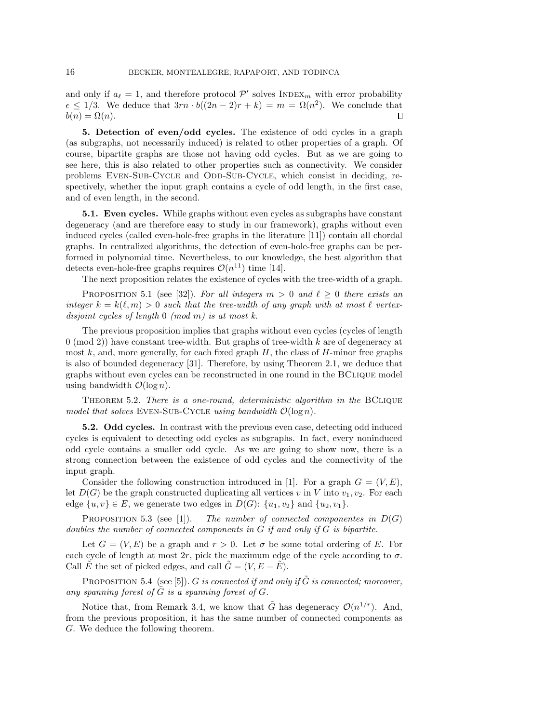and only if  $a_\ell = 1$ , and therefore protocol  $\mathcal{P}'$  solves INDEX<sub>m</sub> with error probability  $\epsilon \leq 1/3$ . We deduce that  $3rn \cdot b((2n - 2)r + k) = m = \Omega (n^2)$ . We conclude that  $b(n) = \Omega (n).$  $\Box$ 

<span id="page-15-0"></span>5. Detection of even/odd cycles. The existence of odd cycles in a graph (as subgraphs, not necessarily induced) is related to other properties of a graph. Of course, bipartite graphs are those not having odd cycles. But as we are going to see here, this is also related to other properties such as connectivity. We consider problems EVEN-SUB-CYCLE and ODD-SUB-CYCLE, which consist in deciding, respectively, whether the input graph contains a cycle of odd length, in the first case, and of even length, in the second.

5.1. Even cycles. While graphs without even cycles as subgraphs have constant degeneracy (and are therefore easy to study in our framework), graphs without even induced cycles (called even-hole-free graphs in the literature [\[11\]](#page-17-20)) contain all chordal graphs. In centralized algorithms, the detection of even-hole-free graphs can be performed in polynomial time. Nevertheless, to our knowledge, the best algorithm that detects even-hole-free graphs requires  $\mathcal{O}(n^{11})$  time [\[14\]](#page-17-22).

The next proposition relates the existence of cycles with the tree-width of a graph.

PROPOSITION 5.1 (see [\[32\]](#page-18-5)). For all integers  $m > 0$  and  $\ell \geq 0$  there exists an integer  $k = k(\ell , m) > 0$  such that the tree-width of any graph with at most  $\ell$  vertexdisjoint cycles of length  $0 \pmod{m}$  is at most k.

The previous proposition implies that graphs without even cycles (cycles of length  $0 \pmod{2}$  have constant tree-width. But graphs of tree-width k are of degeneracy at most  $k$ , and, more generally, for each fixed graph  $H$ , the class of  $H$ -minor free graphs is also of bounded degeneracy [\[31\]](#page-18-6). Therefore, by using Theorem [2.1,](#page-5-1) we deduce that graphs without even cycles can be reconstructed in one round in the BClique model using bandwidth  $\mathcal{O}(\log n)$ .

<span id="page-15-1"></span>THEOREM 5.2. There is a one-round, deterministic algorithm in the BCLIQUE model that solves EVEN-SUB-CYCLE using bandwidth  $\mathcal{O}(\log n)$ .

5.2. Odd cycles. In contrast with the previous even case, detecting odd induced cycles is equivalent to detecting odd cycles as subgraphs. In fact, every noninduced odd cycle contains a smaller odd cycle. As we are going to show now, there is a strong connection between the existence of odd cycles and the connectivity of the input graph.

Consider the following construction introduced in [\[1\]](#page-16-0). For a graph  $G = (V, E)$ , let  $D(G)$  be the graph constructed duplicating all vertices v in V into  $v_1, v_2$ . For each edge  $\{ u, v\} \in E$ , we generate two edges in  $D(G)$ :  $\{ u_1, v_2\}$  and  $\{ u_2, v_1\}$ .

<span id="page-15-2"></span>PROPOSITION 5.3 (see [\[1\]](#page-16-0)). The number of connected componentes in  $D(G)$ doubles the number of connected components in G if and only if G is bipartite.

Let  $G = (V, E)$  be a graph and  $r > 0$ . Let  $\sigma$  be some total ordering of E. For each cycle of length at most  $2r$ , pick the maximum edge of the cycle according to  $\sigma$ . Call  $\hat{E}$  the set of picked edges, and call  $\hat{G} = (V, E - \hat{E}).$ 

PROPOSITION 5.4 (see [\[5\]](#page-17-13)). G is connected if and only if  $\tilde{G}$  is connected; moreover, any spanning forest of  $\tilde{G}$  is a spanning forest of  $G$ .

<span id="page-15-3"></span>Notice that, from Remark [3.4,](#page-7-3) we know that  $\tilde{G}$  has degeneracy  $\mathcal{O} (n^{1/r})$ . And, from the previous proposition, it has the same number of connected components as G. We deduce the following theorem.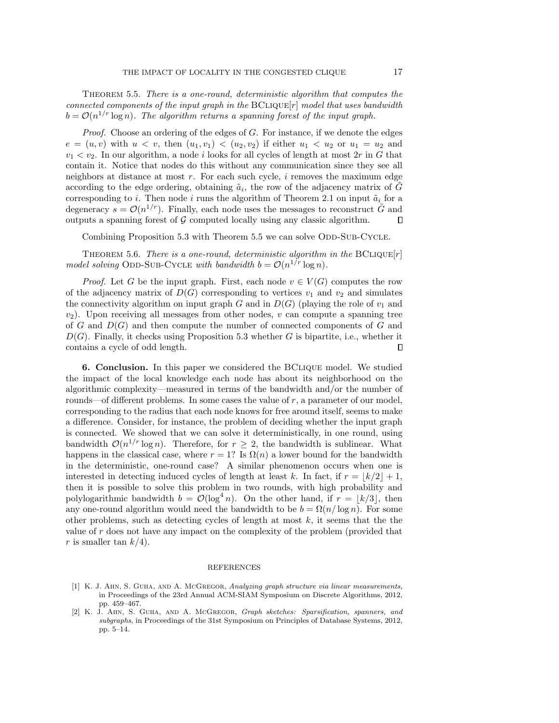Theorem 5.5. There is a one-round, deterministic algorithm that computes the connected components of the input graph in the  $BCLIQUE[r]$  model that uses bandwidth  $b = \mathcal{O}(n^{1/r} \log n)$ . The algorithm returns a spanning forest of the input graph.

Proof. Choose an ordering of the edges of G. For instance, if we denote the edges  $e = (u, v)$  with  $u < v$ , then  $(u_1, v_1) < (u_2, v_2)$  if either  $u_1 < u_2$  or  $u_1 = u_2$  and  $v_1 < v_2$ . In our algorithm, a node i looks for all cycles of length at most  $2r$  in G that contain it. Notice that nodes do this without any communication since they see all neighbors at distance at most  $r$ . For each such cycle,  $i$  removes the maximum edge according to the edge ordering, obtaining  $\tilde{a}_i$ , the row of the adjacency matrix of  $\tilde{G}$ corresponding to i. Then node i runs the algorithm of Theorem [2.1](#page-5-1) on input  $\tilde{a}_i$  for a degeneracy  $s = \mathcal{O}(n^{1/r})$ . Finally, each node uses the messages to reconstruct  $\tilde{G}$  and outputs a spanning forest of  $\mathcal G$  computed locally using any classic algorithm.  $\Box$ 

Combining Proposition [5.3](#page-15-2) with Theorem [5.5](#page-15-3) we can solve ODD-SUB-CYCLE.

<span id="page-16-2"></span>THEOREM 5.6. There is a one-round, deterministic algorithm in the  $BCLIQUE[r]$ model solving ODD-SUB-CYCLE with bandwidth  $b = \mathcal{O} (n^{1/r} \log n)$ .

*Proof.* Let G be the input graph. First, each node  $v \in V (G)$  computes the row of the adjacency matrix of  $D(G)$  corresponding to vertices  $v_1$  and  $v_2$  and simulates the connectivity algorithm on input graph G and in  $D(G)$  (playing the role of  $v_1$  and  $v_2$ ). Upon receiving all messages from other nodes, v can compute a spanning tree of G and  $D(G)$  and then compute the number of connected components of G and  $D(G)$ . Finally, it checks using Proposition [5.3](#page-15-2) whether G is bipartite, i.e., whether it contains a cycle of odd length.  $\Box$ 

6. Conclusion. In this paper we considered the BClique model. We studied the impact of the local knowledge each node has about its neighborhood on the algorithmic complexity—measured in terms of the bandwidth and/or the number of rounds---of different problems. In some cases the value of  $r$ , a parameter of our model, corresponding to the radius that each node knows for free around itself, seems to make a difference. Consider, for instance, the problem of deciding whether the input graph is connected. We showed that we can solve it deterministically, in one round, using bandwidth  $\mathcal{O}(n^{1/r} \log n)$ . Therefore, for  $r \geq 2$ , the bandwidth is sublinear. What happens in the classical case, where  $r = 1$ ? Is  $\Omega(n)$  a lower bound for the bandwidth in the deterministic, one-round case? A similar phenomenon occurs when one is interested in detecting induced cycles of length at least k. In fact, if  $r = \lfloor k/2\rfloor + 1$ , then it is possible to solve this problem in two rounds, with high probability and polylogarithmic bandwidth  $b = \mathcal{O}(\log^4 n)$ . On the other hand, if  $r = \lfloor k/3 \rfloor$ , then any one-round algorithm would need the bandwidth to be  $b = \Omega (n/ \log n)$ . For some other problems, such as detecting cycles of length at most  $k$ , it seems that the the value of r does not have any impact on the complexity of the problem (provided that r is smaller tan  $k/4$ .

#### REFERENCES

- <span id="page-16-0"></span>[1] K. J. Ahn, S. Guha, and A. McGregor, Analyzing graph structure via linear measurements, in Proceedings of the 23rd Annual ACM-SIAM Symposium on Discrete Algorithms, 2012, pp. 459-467.
- <span id="page-16-1"></span>[2] K. J. Ahn, S. Guha, and A. McGregor, Graph sketches: Sparsification, spanners, and subgraphs, in Proceedings of the 31st Symposium on Principles of Database Systems, 2012, pp. 5-14.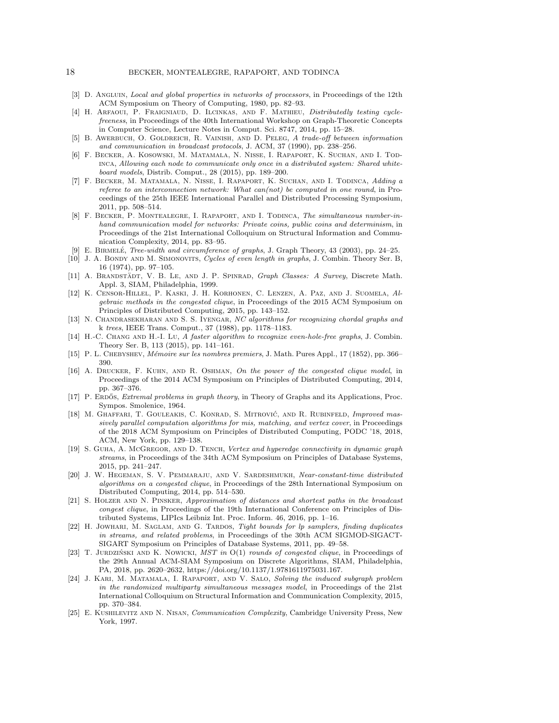#### 18 BECKER, MONTEALEGRE, RAPAPORT, AND TODINCA

- <span id="page-17-12"></span>[3] D. ANGLUIN, *Local and global properties in networks of processors*, in Proceedings of the 12th ACM Symposium on Theory of Computing, 1980, pp. 82–93.
- <span id="page-17-0"></span>[4] H. Arfaoui, P. Fraigniaud, D. Ilcinkas, and F. Mathieu, Distributedly testing cyclefreeness, in Proceedings of the 40th International Workshop on Graph-Theoretic Concepts in Computer Science, Lecture Notes in Comput. Sci. 8747, 2014, pp. 15--28.
- <span id="page-17-13"></span>[5] B. Awerbuch, O. Goldreich, R. Vainish, and D. Peleg, A trade-off between information and communication in broadcast protocols, J. ACM, 37 (1990), pp. 238-256.
- <span id="page-17-1"></span>[6] F. Becker, A. Kosowski, M. Matamala, N. Nisse, I. Rapaport, K. Suchan, and I. Todinca, Allowing each node to communicate only once in a distributed system: Shared white $board \ models$ , Distrib. Comput., 28 (2015), pp. 189-200.
- <span id="page-17-2"></span>[7] F. Becker, M. Matamala, N. Nisse, I. Rapaport, K. Suchan, and I. Todinca, Adding a referee to an interconnection network: What  $can (not)$  be computed in one round, in Proceedings of the 25th IEEE International Parallel and Distributed Processing Symposium, 2011, pp. 508-514.
- <span id="page-17-3"></span>[8] F. BECKER, P. MONTEALEGRE, I. RAPAPORT, AND I. TODINCA, The simultaneous number-inhand communication model for networks: Private coins, public coins and determinism, in Proceedings of the 21st International Colloquium on Structural Information and Communication Complexity, 2014, pp. 83-95.
- <span id="page-17-19"></span>[9] E. BIRMELÉ, Tree-width and circumference of graphs, J. Graph Theory, 43 (2003), pp. 24-25.
- <span id="page-17-14"></span>[10] J. A. BONDY AND M. SIMONOVITS, Cycles of even length in graphs, J. Combin. Theory Ser. B, 16 (1974), pp. 97-105.
- <span id="page-17-20"></span>[11] A. BRANDSTÄDT, V. B. LE, AND J. P. SPINRAD, Graph Classes: A Survey, Discrete Math. Appl. 3, SIAM, Philadelphia, 1999.
- <span id="page-17-9"></span>[12] K. Censor-Hillel, P. Kaski, J. H. Korhonen, C. Lenzen, A. Paz, and J. Suomela, Algebraic methods in the congested clique, in Proceedings of the 2015 ACM Symposium on Principles of Distributed Computing, 2015, pp. 143-152.
- <span id="page-17-21"></span>[13] N. CHANDRASEKHARAN AND S. S. IYENGAR, NC algorithms for recognizing chordal graphs and k trees, IEEE Trans. Comput., 37 (1988), pp. 1178-1183.
- <span id="page-17-22"></span>[14] H.-C. Chang and H.-I. Lu, A faster algorithm to recognize even-hole-free graphs, J. Combin. Theory Ser. B, 113 (2015), pp. 141-161.
- <span id="page-17-18"></span>[15] P. L. CHEBYSHEV, Mémoire sur les nombres premiers, J. Math. Pures Appl., 17 (1852), pp. 366-390.
- <span id="page-17-4"></span>[16] A. Drucker, F. Kuhn, and R. Oshman, On the power of the congested clique model, in Proceedings of the 2014 ACM Symposium on Principles of Distributed Computing, 2014, pp. 367-376.
- <span id="page-17-15"></span>[17] P. ERDŐS, *Extremal problems in graph theory*, in Theory of Graphs and its Applications, Proc. Sympos. Smolenice, 1964.
- <span id="page-17-11"></span>[18] M. GHAFFARI, T. GOULEAKIS, C. KONRAD, S. MITROVIĆ, AND R. RUBINFELD, *Improved mas*sively parallel computation algorithms for mis, matching, and vertex cover, in Proceedings of the 2018 ACM Symposium on Principles of Distributed Computing, PODC '18, 2018, ACM, New York, pp. 129-138.
- <span id="page-17-5"></span>[19] S. Guha, A. McGregor, and D. Tench, Vertex and hyperedge connectivity in dynamic graph streams, in Proceedings of the 34th ACM Symposium on Principles of Database Systems,  $2015$ , pp.  $241-247$ .
- <span id="page-17-8"></span>[20] J. W. HEGEMAN, S. V. PEMMARAJU, AND V. SARDESHMUKH, Near-constant-time distributed algorithms on a congested clique, in Proceedings of the 28th International Symposium on Distributed Computing, 2014, pp. 514-530.
- <span id="page-17-6"></span>[21] S. HOLZER AND N. PINSKER, Approximation of distances and shortest paths in the broadcast congest clique, in Proceedings of the 19th International Conference on Principles of Distributed Systems, LIPIcs Leibniz Int. Proc. Inform. 46, 2016, pp. 1-16.
- <span id="page-17-16"></span>[22] H. JOWHARI, M. SAGLAM, AND G. TARDOS, Tight bounds for lp samplers, finding duplicates in streams, and related problems, in Proceedings of the 30th ACM SIGMOD-SIGACT-SIGART Symposium on Principles of Database Systems, 2011, pp. 49-58.
- <span id="page-17-10"></span>[23] T. JURDZIŃSKI AND K. NOWICKI, MST in O(1) rounds of congested clique, in Proceedings of the 29th Annual ACM-SIAM Symposium on Discrete Algorithms, SIAM, Philadelphia, PA, 2018, pp. 2620-2632, [https://doi.org/10.1137/1.9781611975031.167.](https://doi.org/10.1137/1.9781611975031.167)
- <span id="page-17-7"></span>[24] J. KARI, M. MATAMALA, I. RAPAPORT, AND V. SALO, Solving the induced subgraph problem in the randomized multiparty simultaneous messages model, in Proceedings of the 21st International Colloquium on Structural Information and Communication Complexity, 2015, pp. 370-384.
- <span id="page-17-17"></span>[25] E. Kushilevitz and N. Nisan, Communication Complexity, Cambridge University Press, New York, 1997.